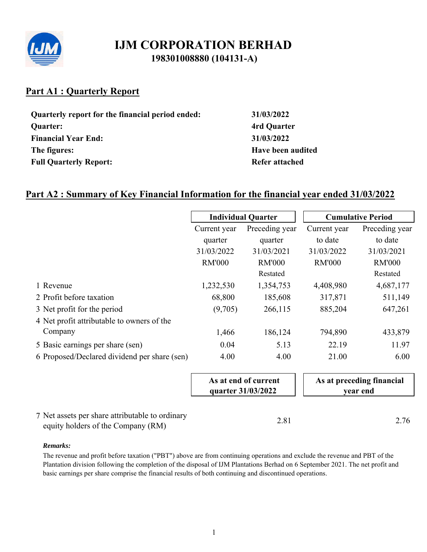

# **Part A1 : Quarterly Report**

| Quarterly report for the financial period ended: |
|--------------------------------------------------|
| <b>Quarter:</b>                                  |
| <b>Financial Year End:</b>                       |
| The figures:                                     |
| <b>Full Quarterly Report:</b>                    |

**Quarterly report for the financial period ended: 31/03/2022 Quarter: 4rd Quarter Financial Year End: 31/03/2022 Have been audited Refer attached** 

# **Part A2 : Summary of Key Financial Information for the financial year ended 31/03/2022**

|                                                 |               | <b>Individual Quarter</b>                  |               | <b>Cumulative Period</b>              |
|-------------------------------------------------|---------------|--------------------------------------------|---------------|---------------------------------------|
|                                                 | Current year  | Preceding year                             | Current year  | Preceding year                        |
|                                                 | quarter       | quarter                                    | to date       | to date                               |
|                                                 | 31/03/2022    | 31/03/2021                                 | 31/03/2022    | 31/03/2021                            |
|                                                 | <b>RM'000</b> | <b>RM'000</b>                              | <b>RM'000</b> | <b>RM'000</b>                         |
|                                                 |               | Restated                                   |               | Restated                              |
| 1 Revenue                                       | 1,232,530     | 1,354,753                                  | 4,408,980     | 4,687,177                             |
| 2 Profit before taxation                        | 68,800        | 185,608                                    | 317,871       | 511,149                               |
| 3 Net profit for the period                     | (9,705)       | 266,115                                    | 885,204       | 647,261                               |
| 4 Net profit attributable to owners of the      |               |                                            |               |                                       |
| Company                                         | 1,466         | 186,124                                    | 794,890       | 433,879                               |
| 5 Basic earnings per share (sen)                | 0.04          | 5.13                                       | 22.19         | 11.97                                 |
| 6 Proposed/Declared dividend per share (sen)    | 4.00          | 4.00                                       | 21.00         | 6.00                                  |
|                                                 |               | As at end of current<br>quarter 31/03/2022 |               | As at preceding financial<br>year end |
| 7 Net assets per share attributable to ordinary |               | 2.81                                       |               | 2.76                                  |

equity holders of the Company  $(RM)$  2.81 2.76

### *Remarks:*

The revenue and profit before taxation ("PBT") above are from continuing operations and exclude the revenue and PBT of the Plantation division following the completion of the disposal of IJM Plantations Berhad on 6 September 2021. The net profit and basic earnings per share comprise the financial results of both continuing and discontinued operations.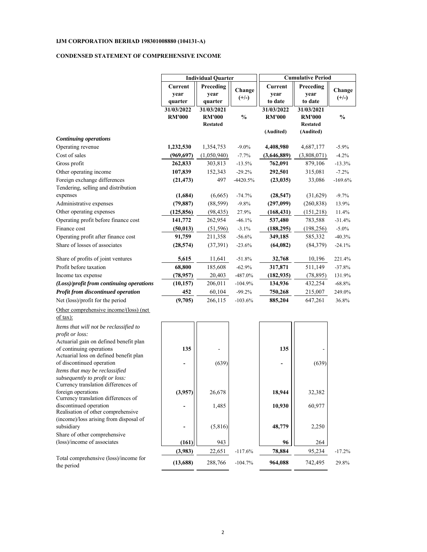#### **CONDENSED STATEMENT OF COMPREHENSIVE INCOME**

|                                                                   | <b>Individual Quarter</b> |                 |           | <b>Cumulative Period</b> |                 |               |  |
|-------------------------------------------------------------------|---------------------------|-----------------|-----------|--------------------------|-----------------|---------------|--|
|                                                                   | Current                   | Preceding       | Change    | Current                  | Preceding       | Change        |  |
|                                                                   | year                      | year            | $(+/-)$   | year                     | year            | $(+/-)$       |  |
|                                                                   | quarter                   | quarter         |           | to date                  | to date         |               |  |
|                                                                   | 31/03/2022                | 31/03/2021      |           | 31/03/2022               | 31/03/2021      |               |  |
|                                                                   | <b>RM'000</b>             | <b>RM'000</b>   | $\%$      | <b>RM'000</b>            | <b>RM'000</b>   | $\frac{0}{0}$ |  |
|                                                                   |                           | <b>Restated</b> |           |                          | <b>Restated</b> |               |  |
|                                                                   |                           |                 |           | (Audited)                | (Audited)       |               |  |
| <b>Continuing operations</b>                                      |                           |                 |           |                          |                 |               |  |
| Operating revenue                                                 | 1,232,530                 | 1,354,753       | $-9.0\%$  | 4,408,980                | 4,687,177       | $-5.9%$       |  |
| Cost of sales                                                     | (969, 697)                | (1,050,940)     | $-7.7%$   | (3,646,889)              | (3,808,071)     | $-4.2%$       |  |
| Gross profit                                                      | 262,833                   | 303,813         | $-13.5%$  | 762,091                  | 879,106         | $-13.3%$      |  |
| Other operating income                                            | 107,839                   | 152,343         | $-29.2%$  | 292,501                  | 315,081         | $-7.2\%$      |  |
| Foreign exchange differences                                      | (21, 473)                 | 497             | -4420.5%  | (23, 035)                | 33,086          | $-169.6%$     |  |
| Tendering, selling and distribution                               |                           |                 |           |                          |                 |               |  |
| expenses                                                          | (1,684)                   | (6,665)         | $-74.7%$  | (28, 547)                | (31,629)        | $-9.7%$       |  |
| Administrative expenses                                           | (79, 887)                 | (88, 599)       | $-9.8%$   | (297,099)                | (260, 838)      | 13.9%         |  |
| Other operating expenses                                          |                           |                 | 27.9%     |                          |                 |               |  |
|                                                                   | (125, 856)                | (98, 435)       |           | (168, 431)               | (151,218)       | 11.4%         |  |
| Operating profit before finance cost                              | 141,772                   | 262,954         | $-46.1%$  | 537,480                  | 783,588         | $-31.4%$      |  |
| Finance cost                                                      | (50, 013)                 | (51, 596)       | $-3.1%$   | (188, 295)               | (198, 256)      | $-5.0\%$      |  |
| Operating profit after finance cost                               | 91,759                    | 211,358         | $-56.6%$  | 349,185                  | 585,332         | $-40.3%$      |  |
| Share of losses of associates                                     | (28, 574)                 | (37,391)        | $-23.6%$  | (64, 082)                | (84, 379)       | $-24.1%$      |  |
| Share of profits of joint ventures                                | 5,615                     | 11,641          | $-51.8%$  | 32,768                   | 10,196          | 221.4%        |  |
| Profit before taxation                                            | 68,800                    | 185,608         | $-62.9%$  | 317,871                  | 511,149         | $-37.8%$      |  |
| Income tax expense                                                | (78,957)                  | 20,403          | -487.0%   | (182, 935)               | (78, 895)       | 131.9%        |  |
| (Loss)/profit from continuing operations                          | (10, 157)                 | 206,011         | $-104.9%$ | 134,936                  | 432,254         | $-68.8\%$     |  |
| Profit from discontinued operation                                | 452                       | 60,104          | $-99.2%$  | 750,268                  | 215,007         | 249.0%        |  |
| Net (loss)/profit for the period                                  | (9,705)                   | 266,115         | $-103.6%$ | 885,204                  | 647,261         | 36.8%         |  |
| Other comprehensive income/(loss) (net<br>of tax):                |                           |                 |           |                          |                 |               |  |
| Items that will not be reclassified to                            |                           |                 |           |                          |                 |               |  |
| profit or loss:                                                   |                           |                 |           |                          |                 |               |  |
| Actuarial gain on defined benefit plan                            |                           |                 |           |                          |                 |               |  |
| of continuing operations                                          | 135                       |                 |           | 135                      |                 |               |  |
| Actuarial loss on defined benefit plan                            |                           |                 |           |                          |                 |               |  |
| of discontinued operation                                         |                           | (639)           |           |                          | (639)           |               |  |
| Items that may be reclassified<br>subsequently to profit or loss: |                           |                 |           |                          |                 |               |  |
| Currency translation differences of                               |                           |                 |           |                          |                 |               |  |
| foreign operations                                                | (3,957)                   | 26,678          |           | 18,944                   | 32,382          |               |  |
| Currency translation differences of                               |                           |                 |           |                          |                 |               |  |
| discontinued operation<br>Realisation of other comprehensive      |                           | 1,485           |           | 10,930                   | 60,977          |               |  |
| (income)/loss arising from disposal of                            |                           |                 |           |                          |                 |               |  |
| subsidiary                                                        |                           | (5, 816)        |           | 48,779                   | 2,250           |               |  |
| Share of other comprehensive                                      |                           |                 |           |                          |                 |               |  |
| (loss)/income of associates                                       | (161)                     | 943             |           | 96                       | 264             |               |  |
|                                                                   | (3,983)                   | 22,651          | $-117.6%$ | 78,884                   | 95,234          | $-17.2%$      |  |
| Total comprehensive (loss)/income for<br>the period               | (13,688)                  | 288,766         | $-104.7%$ | 964,088                  | 742,495         | 29.8%         |  |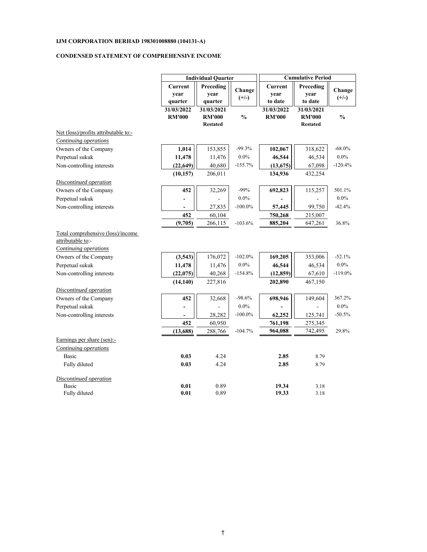#### **CONDENSED STATEMENT OF COMPREHENSIVE INCOME**

|                                                                                        | <b>Individual Quarter</b> |                              |                   | <b>Cumulative Period</b>   |                              |                   |  |
|----------------------------------------------------------------------------------------|---------------------------|------------------------------|-------------------|----------------------------|------------------------------|-------------------|--|
|                                                                                        | <b>Current</b><br>year    | Preceding<br>year<br>quarter | Change<br>$(+/-)$ | Current<br>year<br>to date | Preceding<br>year<br>to date | Change<br>$(+/-)$ |  |
|                                                                                        | quarter<br>31/03/2022     | 31/03/2021                   |                   | 31/03/2022                 | 31/03/2021                   |                   |  |
|                                                                                        | <b>RM'000</b>             | <b>RM'000</b>                | $\frac{0}{0}$     | <b>RM'000</b>              | <b>RM'000</b>                | $\frac{0}{0}$     |  |
|                                                                                        |                           | <b>Restated</b>              |                   |                            | <b>Restated</b>              |                   |  |
| Net (loss)/profits attributable to:-                                                   |                           |                              |                   |                            |                              |                   |  |
| <b>Continuing operations</b>                                                           |                           |                              |                   |                            |                              |                   |  |
| Owners of the Company                                                                  | 1,014                     | 153,855                      | $-99.3%$          | 102,067                    | 318,622                      | $-68.0\%$         |  |
| Perpetual sukuk                                                                        | 11,478                    | 11,476                       | $0.0\%$           | 46,544                     | 46,534                       | $0.0\%$           |  |
| Non-controlling interests                                                              | (22, 649)                 | 40,680                       | $-155.7%$         | (13, 675)                  | 67,098                       | $-120.4%$         |  |
|                                                                                        | (10, 157)                 | 206,011                      |                   | 134,936                    | 432,254                      |                   |  |
| Discontinued operation                                                                 |                           |                              |                   |                            |                              |                   |  |
| Owners of the Company                                                                  | 452                       | 32,269                       | $-99%$            | 692,823                    | 115,257                      | 501.1%            |  |
| Perpetual sukuk                                                                        |                           |                              | $0.0\%$           |                            |                              | $0.0\%$           |  |
| Non-controlling interests                                                              |                           | 27,835                       | $-100.0\%$        | 57,445                     | 99,750                       | $-42.4%$          |  |
|                                                                                        | 452                       | 60,104                       |                   | 750,268                    | 215,007                      |                   |  |
|                                                                                        | (9,705)                   | 266,115                      | $-103.6%$         | 885,204                    | 647,261                      | 36.8%             |  |
| Total comprehensive (loss)/income<br>attributable to:-<br><b>Continuing operations</b> |                           |                              |                   |                            |                              |                   |  |
| Owners of the Company                                                                  | (3,543)                   | 176,072                      | $-102.0%$         | 169,205                    | 353,006                      | $-52.1%$          |  |
| Perpetual sukuk                                                                        | 11,478                    | 11,476                       | $0.0\%$           | 46,544                     | 46,534                       | $0.0\%$           |  |
| Non-controlling interests                                                              | (22, 075)                 | 40,268                       | $-154.8%$         | (12, 859)                  | 67,610                       | $-119.0\%$        |  |
|                                                                                        | (14, 140)                 | 227,816                      |                   | 202,890                    | 467,150                      |                   |  |
| Discontinued operation                                                                 |                           |                              |                   |                            |                              |                   |  |
| Owners of the Company                                                                  | 452                       | 32,668                       | $-98.6%$          | 698,946                    | 149,604                      | 367.2%            |  |
| Perpetual sukuk                                                                        |                           |                              | $0.0\%$           |                            |                              | $0.0\%$           |  |
| Non-controlling interests                                                              |                           | 28,282                       | $-100.0\%$        | 62,252                     | 125,741                      | $-50.5%$          |  |
|                                                                                        | 452                       | 60,950                       |                   | 761,198                    | 275,345                      |                   |  |
|                                                                                        | (13, 688)                 | 288,766                      | $-104.7%$         | 964,088                    | 742,495                      | 29.8%             |  |
| Earnings per share (sen):-                                                             |                           |                              |                   |                            |                              |                   |  |
| Continuing operations                                                                  |                           |                              |                   |                            |                              |                   |  |
| Basic                                                                                  | 0.03                      | 4.24                         |                   | 2.85                       | 8.79                         |                   |  |
| Fully diluted                                                                          | 0.03                      | 4.24                         |                   | 2.85                       | 8.79                         |                   |  |
| Discontinued operation                                                                 |                           |                              |                   |                            |                              |                   |  |
| Basic                                                                                  | 0.01                      | 0.89                         |                   | 19.34                      | 3.18                         |                   |  |
| Fully diluted                                                                          | 0.01                      | 0.89                         |                   | 19.33                      | 3.18                         |                   |  |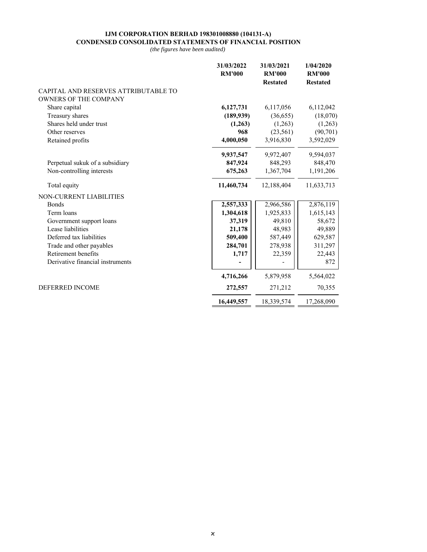#### **IJM CORPORATION BERHAD 198301008880 (104131-A) CONDENSED CONSOLIDATED STATEMENTS OF FINANCIAL POSITION**

|                                      | 31/03/2022<br><b>RM'000</b> | 31/03/2021<br><b>RM'000</b><br><b>Restated</b> | 1/04/2020<br><b>RM'000</b><br><b>Restated</b> |
|--------------------------------------|-----------------------------|------------------------------------------------|-----------------------------------------------|
| CAPITAL AND RESERVES ATTRIBUTABLE TO |                             |                                                |                                               |
| <b>OWNERS OF THE COMPANY</b>         |                             |                                                |                                               |
| Share capital                        | 6,127,731                   | 6,117,056                                      | 6,112,042                                     |
| Treasury shares                      | (189, 939)                  | (36,655)                                       | (18,070)                                      |
| Shares held under trust              | (1,263)                     | (1,263)                                        | (1,263)                                       |
| Other reserves                       | 968                         | (23, 561)                                      | (90, 701)                                     |
| Retained profits                     | 4,000,050                   | 3,916,830                                      | 3,592,029                                     |
|                                      | 9,937,547                   | 9,972,407                                      | 9,594,037                                     |
| Perpetual sukuk of a subsidiary      | 847,924                     | 848,293                                        | 848,470                                       |
| Non-controlling interests            | 675,263                     | 1,367,704                                      | 1,191,206                                     |
| Total equity                         | 11,460,734                  | 12,188,404                                     | 11,633,713                                    |
| NON-CURRENT LIABILITIES              |                             |                                                |                                               |
| <b>Bonds</b>                         | 2,557,333                   | 2,966,586                                      | 2,876,119                                     |
| Term loans                           | 1,304,618                   | 1,925,833                                      | 1,615,143                                     |
| Government support loans             | 37,319                      | 49,810                                         | 58,672                                        |
| Lease liabilities                    | 21,178                      | 48,983                                         | 49,889                                        |
| Deferred tax liabilities             | 509,400                     | 587,449                                        | 629,587                                       |
| Trade and other payables             | 284,701                     | 278,938                                        | 311,297                                       |
| Retirement benefits                  | 1,717                       | 22,359                                         | 22,443                                        |
| Derivative financial instruments     |                             |                                                | 872                                           |
|                                      | 4,716,266                   | 5,879,958                                      | 5,564,022                                     |
| <b>DEFERRED INCOME</b>               | 272,557                     | 271,212                                        | 70,355                                        |
|                                      | 16,449,557                  | 18,339,574                                     | 17,268,090                                    |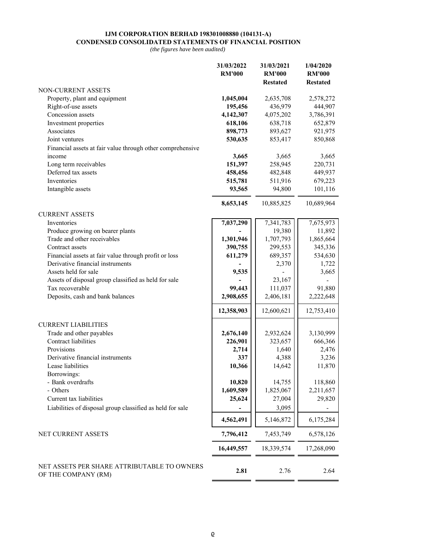#### **IJM CORPORATION BERHAD 198301008880 (104131-A) CONDENSED CONSOLIDATED STATEMENTS OF FINANCIAL POSITION**

|                                                                    | 31/03/2022<br><b>RM'000</b> | 31/03/2021<br><b>RM'000</b><br><b>Restated</b> | 1/04/2020<br><b>RM'000</b><br><b>Restated</b> |
|--------------------------------------------------------------------|-----------------------------|------------------------------------------------|-----------------------------------------------|
| NON-CURRENT ASSETS                                                 |                             |                                                |                                               |
| Property, plant and equipment                                      | 1,045,004                   | 2,635,708                                      | 2,578,272                                     |
| Right-of-use assets                                                | 195,456                     | 436,979                                        | 444,907                                       |
| Concession assets                                                  | 4,142,307                   | 4,075,202                                      | 3,786,391                                     |
| Investment properties                                              | 618,106                     | 638,718                                        | 652,879                                       |
| Associates                                                         | 898,773                     | 893,627                                        | 921,975                                       |
| Joint ventures                                                     | 530,635                     | 853,417                                        | 850,868                                       |
| Financial assets at fair value through other comprehensive         |                             |                                                |                                               |
| income                                                             | 3,665                       | 3,665                                          | 3,665                                         |
| Long term receivables                                              | 151,397                     | 258,945                                        | 220,731                                       |
| Deferred tax assets                                                | 458,456                     | 482,848                                        | 449,937                                       |
| Inventories                                                        | 515,781                     | 511,916                                        | 679,223                                       |
| Intangible assets                                                  | 93,565                      | 94,800                                         | 101,116                                       |
|                                                                    | 8,653,145                   | 10,885,825                                     | 10,689,964                                    |
| <b>CURRENT ASSETS</b>                                              |                             |                                                |                                               |
| Inventories                                                        | 7,037,290                   | 7,341,783                                      | 7,675,973                                     |
| Produce growing on bearer plants                                   |                             | 19,380                                         | 11,892                                        |
| Trade and other receivables                                        | 1,301,946                   | 1,707,793                                      | 1,865,664                                     |
| Contract assets                                                    | 390,755                     | 299,553                                        | 345,336                                       |
| Financial assets at fair value through profit or loss              | 611,279                     | 689,357                                        | 534,630                                       |
| Derivative financial instruments                                   |                             | 2,370                                          | 1,722                                         |
| Assets held for sale                                               | 9,535                       |                                                | 3,665                                         |
| Assets of disposal group classified as held for sale               |                             | 23,167                                         |                                               |
| Tax recoverable                                                    | 99,443                      | 111,037                                        | 91,880                                        |
| Deposits, cash and bank balances                                   | 2,908,655                   | 2,406,181                                      | 2,222,648                                     |
|                                                                    | 12,358,903                  | 12,600,621                                     | 12,753,410                                    |
| <b>CURRENT LIABILITIES</b>                                         |                             |                                                |                                               |
| Trade and other payables                                           | 2,676,140                   | 2,932,624                                      | 3,130,999                                     |
| Contract liabilities                                               | 226,901                     | 323,657                                        | 666,366                                       |
| Provisions                                                         | 2,714                       | 1,640                                          | 2,476                                         |
| Derivative financial instruments                                   | 337                         | 4,388                                          | 3,236                                         |
| Lease liabilities                                                  | 10,366                      | 14,642                                         | 11,870                                        |
| Borrowings:                                                        |                             |                                                |                                               |
| - Bank overdrafts                                                  | 10,820                      | 14,755                                         | 118,860                                       |
| - Others                                                           | 1,609,589                   | 1,825,067                                      | 2,211,657                                     |
| Current tax liabilities                                            | 25,624                      | 27,004                                         | 29,820                                        |
| Liabilities of disposal group classified as held for sale          |                             | 3,095                                          |                                               |
|                                                                    | 4,562,491                   | 5,146,872                                      | 6,175,284                                     |
| NET CURRENT ASSETS                                                 | 7,796,412                   | 7,453,749                                      | 6,578,126                                     |
|                                                                    | 16,449,557                  | 18,339,574                                     | 17,268,090                                    |
| NET ASSETS PER SHARE ATTRIBUTABLE TO OWNERS<br>OF THE COMPANY (RM) | 2.81                        | 2.76                                           | 2.64                                          |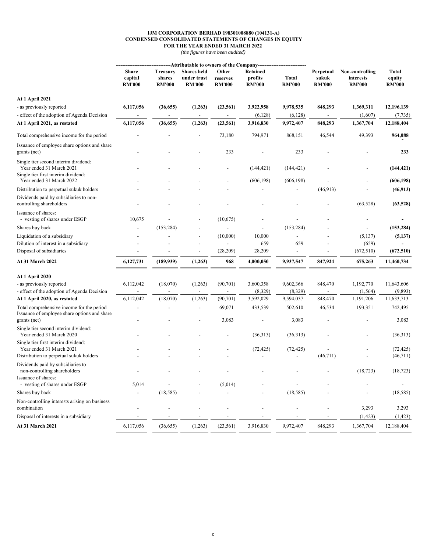#### **IJM CORPORATION BERHAD 198301008880 (104131-A) CONDENSED CONSOLIDATED STATEMENTS OF CHANGES IN EQUITY FOR THE YEAR ENDED 31 MARCH 2022**

|                                                                                           |                                          | --Attributable to owners of the Company--  |                                                    |                                    |                                      |                        |                                     |                                               |                                         |
|-------------------------------------------------------------------------------------------|------------------------------------------|--------------------------------------------|----------------------------------------------------|------------------------------------|--------------------------------------|------------------------|-------------------------------------|-----------------------------------------------|-----------------------------------------|
|                                                                                           | <b>Share</b><br>capital<br><b>RM'000</b> | <b>Treasury</b><br>shares<br><b>RM'000</b> | <b>Shares</b> held<br>under trust<br><b>RM'000</b> | Other<br>reserves<br><b>RM'000</b> | Retained<br>profits<br><b>RM'000</b> | Total<br><b>RM'000</b> | Perpetual<br>sukuk<br><b>RM'000</b> | Non-controlling<br>interests<br><b>RM'000</b> | <b>Total</b><br>equity<br><b>RM'000</b> |
| At 1 April 2021                                                                           |                                          |                                            |                                                    |                                    |                                      |                        |                                     |                                               |                                         |
| - as previously reported                                                                  | 6,117,056                                | (36, 655)                                  | (1,263)                                            | (23, 561)                          | 3,922,958                            | 9,978,535              | 848,293                             | 1,369,311                                     | 12,196,139                              |
| effect of the adoption of Agenda Decision                                                 |                                          |                                            |                                                    |                                    | (6,128)                              | (6,128)                |                                     | (1,607)                                       | (7, 735)                                |
| At 1 April 2021, as restated                                                              | 6,117,056                                | (36, 655)                                  | (1,263)                                            | (23, 561)                          | 3,916,830                            | 9,972,407              | 848,293                             | 1,367,704                                     | 12,188,404                              |
| Total comprehensive income for the period                                                 |                                          |                                            |                                                    | 73,180                             | 794,971                              | 868,151                | 46,544                              | 49,393                                        | 964,088                                 |
| Issuance of employee share options and share<br>grants (net)                              |                                          |                                            |                                                    | 233                                |                                      | 233                    |                                     |                                               | 233                                     |
| Single tier second interim dividend:<br>Year ended 31 March 2021                          |                                          |                                            |                                                    |                                    | (144, 421)                           | (144, 421)             |                                     |                                               | (144, 421)                              |
| Single tier first interim dividend:<br>Year ended 31 March 2022                           |                                          |                                            |                                                    |                                    | (606, 198)                           | (606, 198)             |                                     |                                               | (606, 198)                              |
| Distribution to perpetual sukuk holders                                                   |                                          |                                            |                                                    |                                    |                                      |                        | (46,913)                            |                                               | (46, 913)                               |
| Dividends paid by subsidiaries to non-<br>controlling shareholders                        |                                          |                                            |                                                    |                                    |                                      |                        |                                     | (63, 528)                                     | (63, 528)                               |
| Issuance of shares:<br>- vesting of shares under ESGP                                     | 10,675                                   |                                            |                                                    | (10,675)                           |                                      |                        |                                     |                                               |                                         |
| Shares buy back                                                                           |                                          | (153, 284)                                 |                                                    |                                    |                                      | (153, 284)             |                                     |                                               | (153, 284)                              |
| Liquidation of a subsidiary                                                               |                                          |                                            | $\overline{\phantom{a}}$                           | (10,000)                           | 10,000                               |                        |                                     | (5, 137)                                      | (5,137)                                 |
| Dilution of interest in a subsidiary                                                      |                                          |                                            |                                                    |                                    | 659                                  | 659                    |                                     | (659)                                         |                                         |
| Disposal of subsidiaries                                                                  |                                          |                                            | $\overline{a}$                                     | (28,209)                           | 28,209                               | $\blacksquare$         | $\overline{\phantom{a}}$            | (672, 510)                                    | (672, 510)                              |
| <b>At 31 March 2022</b>                                                                   | 6,127,731                                | (189, 939)                                 | (1,263)                                            | 968                                | 4,000,050                            | 9,937,547              | 847,924                             | 675,263                                       | 11,460,734                              |
| At 1 April 2020                                                                           |                                          |                                            |                                                    |                                    |                                      |                        |                                     |                                               |                                         |
| - as previously reported                                                                  | 6,112,042                                | (18,070)                                   | (1,263)                                            | (90, 701)                          | 3,600,358                            | 9,602,366              | 848,470                             | 1,192,770                                     | 11,643,606                              |
| - effect of the adoption of Agenda Decision                                               |                                          |                                            |                                                    |                                    | (8,329)                              | (8,329)                |                                     | (1, 564)                                      | (9,893)                                 |
| At 1 April 2020, as restated                                                              | 6,112,042                                | (18,070)                                   | (1,263)                                            | (90, 701)                          | 3,592,029                            | 9,594,037              | 848,470                             | 1,191,206                                     | 11,633,713                              |
| Total comprehensive income for the period<br>Issuance of employee share options and share |                                          |                                            |                                                    | 69,071                             | 433,539                              | 502,610                | 46,534                              | 193,351                                       | 742,495                                 |
| grants (net)                                                                              |                                          |                                            |                                                    | 3,083                              |                                      | 3,083                  |                                     |                                               | 3,083                                   |
| Single tier second interim dividend:<br>Year ended 31 March 2020                          |                                          |                                            |                                                    |                                    | (36,313)                             | (36,313)               |                                     |                                               | (36,313)                                |
| Single tier first interim dividend:<br>Year ended 31 March 2021                           |                                          |                                            |                                                    |                                    | (72, 425)                            | (72, 425)              |                                     |                                               | (72, 425)                               |
| Distribution to perpetual sukuk holders                                                   |                                          |                                            |                                                    |                                    |                                      |                        | (46,711)                            |                                               | (46,711)                                |
| Dividends paid by subsidiaries to<br>non-controlling shareholders                         |                                          |                                            |                                                    |                                    |                                      |                        |                                     | (18, 723)                                     | (18, 723)                               |
| Issuance of shares:<br>- vesting of shares under ESGP                                     | 5,014                                    |                                            |                                                    | (5,014)                            |                                      |                        |                                     |                                               |                                         |
| Shares buy back                                                                           |                                          | (18, 585)                                  |                                                    |                                    |                                      | (18, 585)              |                                     |                                               | (18, 585)                               |
| Non-controlling interests arising on business<br>combination                              |                                          |                                            |                                                    |                                    |                                      |                        |                                     | 3,293                                         | 3,293                                   |
| Disposal of interests in a subsidiary                                                     |                                          |                                            |                                                    |                                    |                                      |                        |                                     | (1, 423)                                      | (1, 423)                                |
| At 31 March 2021                                                                          | 6,117,056                                | (36, 655)                                  | (1,263)                                            | (23, 561)                          | 3,916,830                            | 9,972,407              | 848,293                             | 1,367,704                                     | 12,188,404                              |
|                                                                                           |                                          |                                            |                                                    |                                    |                                      |                        |                                     |                                               |                                         |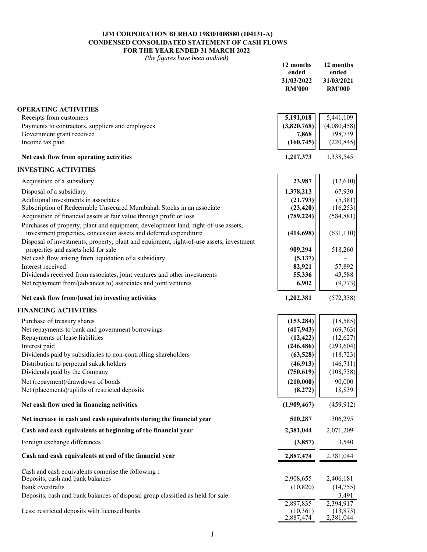#### **IJM CORPORATION BERHAD 198301008880 (104131-A) CONDENSED CONSOLIDATED STATEMENT OF CASH FLOWS FOR THE YEAR ENDED 31 MARCH 2022**

| Receipts from customers<br>5,191,018<br>5,441,109<br>Payments to contractors, suppliers and employees<br>(4,080,458)<br>(3,820,768)<br>Government grant received<br>198,739<br>7,868<br>Income tax paid<br>(220, 845)<br>(160, 745)<br>Net cash flow from operating activities<br>1,217,373<br>1,338,545<br>Acquisition of a subsidiary<br>23,987<br>(12,610)<br>67,930<br>Disposal of a subsidiary<br>1,378,213<br>Additional investments in associates<br>(5,381)<br>(21,793)<br>Subscription of Redeemable Unsecured Murabahah Stocks in an associate<br>(16, 253)<br>(23, 420)<br>Acquisition of financial assets at fair value through profit or loss<br>(789, 224)<br>(584, 881)<br>Purchases of property, plant and equipment, development land, right-of-use assets,<br>investment properties, concession assets and deferred expenditure<br>(414, 698)<br>(631, 110)<br>Disposal of investments, property, plant and equipment, right-of-use assets, investment<br>properties and assets held for sale<br>909,294<br>518,260<br>Net cash flow arising from liquidation of a subsidiary<br>(5, 137)<br>Interest received<br>82,921<br>57,892<br>Dividends received from associates, joint ventures and other investments<br>55,336<br>43,588<br>Net repayment from/(advances to) associates and joint ventures<br>(9,773)<br>6,902<br>Net cash flow from/(used in) investing activities<br>1,202,381<br>(572, 338)<br>(18, 585)<br>Purchase of treasury shares<br>(153, 284)<br>Net repayments to bank and government borrowings<br>(417, 943)<br>(69, 763)<br>Repayments of lease liabilities<br>(12, 422)<br>(12,627)<br>Interest paid<br>(246, 486)<br>(293, 604)<br>Dividends paid by subsidiaries to non-controlling shareholders<br>(63, 528)<br>(18, 723)<br>Distribution to perpetual sukuk holders<br>(46, 913)<br>(46,711)<br>(750, 619)<br>(108, 738)<br>Dividends paid by the Company<br>90,000<br>Net (repayment)/drawdown of bonds<br>(210,000)<br>Net (placements)/uplifts of restricted deposits<br>(8,272)<br>18,839<br>Net cash flow used in financing activities<br>(1,909,467)<br>(459, 912)<br>Net increase in cash and cash equivalents during the financial year<br>510,287<br>306,295<br>Cash and cash equivalents at beginning of the financial year<br>2,381,044<br>2,071,209<br>Foreign exchange differences<br>3,540<br>(3,857)<br>Cash and cash equivalents at end of the financial year<br>2,887,474<br>2,381,044<br>Cash and cash equivalents comprise the following :<br>2,908,655<br>Deposits, cash and bank balances<br>2,406,181<br>Bank overdrafts<br>(10, 820)<br>(14,755)<br>3,491<br>Deposits, cash and bank balances of disposal group classified as held for sale<br>2,394,917<br>2,897,835<br>Less: restricted deposits with licensed banks<br>(10,361)<br>(13, 873)<br>2,887,474<br>2,381,044 |                             | 12 months<br>ended<br>31/03/2022<br><b>RM'000</b> | 12 months<br>ended<br>31/03/2021<br><b>RM'000</b> |
|--------------------------------------------------------------------------------------------------------------------------------------------------------------------------------------------------------------------------------------------------------------------------------------------------------------------------------------------------------------------------------------------------------------------------------------------------------------------------------------------------------------------------------------------------------------------------------------------------------------------------------------------------------------------------------------------------------------------------------------------------------------------------------------------------------------------------------------------------------------------------------------------------------------------------------------------------------------------------------------------------------------------------------------------------------------------------------------------------------------------------------------------------------------------------------------------------------------------------------------------------------------------------------------------------------------------------------------------------------------------------------------------------------------------------------------------------------------------------------------------------------------------------------------------------------------------------------------------------------------------------------------------------------------------------------------------------------------------------------------------------------------------------------------------------------------------------------------------------------------------------------------------------------------------------------------------------------------------------------------------------------------------------------------------------------------------------------------------------------------------------------------------------------------------------------------------------------------------------------------------------------------------------------------------------------------------------------------------------------------------------------------------------------------------------------------------------------------------------------------------------------------------------------------------------------------------------------------------------------------------------------------------------------------------------------------------------------------------------------------------------------------------------------------------------------------------------------------------------|-----------------------------|---------------------------------------------------|---------------------------------------------------|
|                                                                                                                                                                                                                                                                                                                                                                                                                                                                                                                                                                                                                                                                                                                                                                                                                                                                                                                                                                                                                                                                                                                                                                                                                                                                                                                                                                                                                                                                                                                                                                                                                                                                                                                                                                                                                                                                                                                                                                                                                                                                                                                                                                                                                                                                                                                                                                                                                                                                                                                                                                                                                                                                                                                                                                                                                                                  | <b>OPERATING ACTIVITIES</b> |                                                   |                                                   |
|                                                                                                                                                                                                                                                                                                                                                                                                                                                                                                                                                                                                                                                                                                                                                                                                                                                                                                                                                                                                                                                                                                                                                                                                                                                                                                                                                                                                                                                                                                                                                                                                                                                                                                                                                                                                                                                                                                                                                                                                                                                                                                                                                                                                                                                                                                                                                                                                                                                                                                                                                                                                                                                                                                                                                                                                                                                  |                             |                                                   |                                                   |
|                                                                                                                                                                                                                                                                                                                                                                                                                                                                                                                                                                                                                                                                                                                                                                                                                                                                                                                                                                                                                                                                                                                                                                                                                                                                                                                                                                                                                                                                                                                                                                                                                                                                                                                                                                                                                                                                                                                                                                                                                                                                                                                                                                                                                                                                                                                                                                                                                                                                                                                                                                                                                                                                                                                                                                                                                                                  |                             |                                                   |                                                   |
|                                                                                                                                                                                                                                                                                                                                                                                                                                                                                                                                                                                                                                                                                                                                                                                                                                                                                                                                                                                                                                                                                                                                                                                                                                                                                                                                                                                                                                                                                                                                                                                                                                                                                                                                                                                                                                                                                                                                                                                                                                                                                                                                                                                                                                                                                                                                                                                                                                                                                                                                                                                                                                                                                                                                                                                                                                                  |                             |                                                   |                                                   |
|                                                                                                                                                                                                                                                                                                                                                                                                                                                                                                                                                                                                                                                                                                                                                                                                                                                                                                                                                                                                                                                                                                                                                                                                                                                                                                                                                                                                                                                                                                                                                                                                                                                                                                                                                                                                                                                                                                                                                                                                                                                                                                                                                                                                                                                                                                                                                                                                                                                                                                                                                                                                                                                                                                                                                                                                                                                  |                             |                                                   |                                                   |
|                                                                                                                                                                                                                                                                                                                                                                                                                                                                                                                                                                                                                                                                                                                                                                                                                                                                                                                                                                                                                                                                                                                                                                                                                                                                                                                                                                                                                                                                                                                                                                                                                                                                                                                                                                                                                                                                                                                                                                                                                                                                                                                                                                                                                                                                                                                                                                                                                                                                                                                                                                                                                                                                                                                                                                                                                                                  |                             |                                                   |                                                   |
|                                                                                                                                                                                                                                                                                                                                                                                                                                                                                                                                                                                                                                                                                                                                                                                                                                                                                                                                                                                                                                                                                                                                                                                                                                                                                                                                                                                                                                                                                                                                                                                                                                                                                                                                                                                                                                                                                                                                                                                                                                                                                                                                                                                                                                                                                                                                                                                                                                                                                                                                                                                                                                                                                                                                                                                                                                                  | <b>INVESTING ACTIVITIES</b> |                                                   |                                                   |
|                                                                                                                                                                                                                                                                                                                                                                                                                                                                                                                                                                                                                                                                                                                                                                                                                                                                                                                                                                                                                                                                                                                                                                                                                                                                                                                                                                                                                                                                                                                                                                                                                                                                                                                                                                                                                                                                                                                                                                                                                                                                                                                                                                                                                                                                                                                                                                                                                                                                                                                                                                                                                                                                                                                                                                                                                                                  |                             |                                                   |                                                   |
|                                                                                                                                                                                                                                                                                                                                                                                                                                                                                                                                                                                                                                                                                                                                                                                                                                                                                                                                                                                                                                                                                                                                                                                                                                                                                                                                                                                                                                                                                                                                                                                                                                                                                                                                                                                                                                                                                                                                                                                                                                                                                                                                                                                                                                                                                                                                                                                                                                                                                                                                                                                                                                                                                                                                                                                                                                                  |                             |                                                   |                                                   |
|                                                                                                                                                                                                                                                                                                                                                                                                                                                                                                                                                                                                                                                                                                                                                                                                                                                                                                                                                                                                                                                                                                                                                                                                                                                                                                                                                                                                                                                                                                                                                                                                                                                                                                                                                                                                                                                                                                                                                                                                                                                                                                                                                                                                                                                                                                                                                                                                                                                                                                                                                                                                                                                                                                                                                                                                                                                  |                             |                                                   |                                                   |
|                                                                                                                                                                                                                                                                                                                                                                                                                                                                                                                                                                                                                                                                                                                                                                                                                                                                                                                                                                                                                                                                                                                                                                                                                                                                                                                                                                                                                                                                                                                                                                                                                                                                                                                                                                                                                                                                                                                                                                                                                                                                                                                                                                                                                                                                                                                                                                                                                                                                                                                                                                                                                                                                                                                                                                                                                                                  |                             |                                                   |                                                   |
|                                                                                                                                                                                                                                                                                                                                                                                                                                                                                                                                                                                                                                                                                                                                                                                                                                                                                                                                                                                                                                                                                                                                                                                                                                                                                                                                                                                                                                                                                                                                                                                                                                                                                                                                                                                                                                                                                                                                                                                                                                                                                                                                                                                                                                                                                                                                                                                                                                                                                                                                                                                                                                                                                                                                                                                                                                                  |                             |                                                   |                                                   |
|                                                                                                                                                                                                                                                                                                                                                                                                                                                                                                                                                                                                                                                                                                                                                                                                                                                                                                                                                                                                                                                                                                                                                                                                                                                                                                                                                                                                                                                                                                                                                                                                                                                                                                                                                                                                                                                                                                                                                                                                                                                                                                                                                                                                                                                                                                                                                                                                                                                                                                                                                                                                                                                                                                                                                                                                                                                  |                             |                                                   |                                                   |
|                                                                                                                                                                                                                                                                                                                                                                                                                                                                                                                                                                                                                                                                                                                                                                                                                                                                                                                                                                                                                                                                                                                                                                                                                                                                                                                                                                                                                                                                                                                                                                                                                                                                                                                                                                                                                                                                                                                                                                                                                                                                                                                                                                                                                                                                                                                                                                                                                                                                                                                                                                                                                                                                                                                                                                                                                                                  |                             |                                                   |                                                   |
|                                                                                                                                                                                                                                                                                                                                                                                                                                                                                                                                                                                                                                                                                                                                                                                                                                                                                                                                                                                                                                                                                                                                                                                                                                                                                                                                                                                                                                                                                                                                                                                                                                                                                                                                                                                                                                                                                                                                                                                                                                                                                                                                                                                                                                                                                                                                                                                                                                                                                                                                                                                                                                                                                                                                                                                                                                                  |                             |                                                   |                                                   |
|                                                                                                                                                                                                                                                                                                                                                                                                                                                                                                                                                                                                                                                                                                                                                                                                                                                                                                                                                                                                                                                                                                                                                                                                                                                                                                                                                                                                                                                                                                                                                                                                                                                                                                                                                                                                                                                                                                                                                                                                                                                                                                                                                                                                                                                                                                                                                                                                                                                                                                                                                                                                                                                                                                                                                                                                                                                  |                             |                                                   |                                                   |
|                                                                                                                                                                                                                                                                                                                                                                                                                                                                                                                                                                                                                                                                                                                                                                                                                                                                                                                                                                                                                                                                                                                                                                                                                                                                                                                                                                                                                                                                                                                                                                                                                                                                                                                                                                                                                                                                                                                                                                                                                                                                                                                                                                                                                                                                                                                                                                                                                                                                                                                                                                                                                                                                                                                                                                                                                                                  |                             |                                                   |                                                   |
|                                                                                                                                                                                                                                                                                                                                                                                                                                                                                                                                                                                                                                                                                                                                                                                                                                                                                                                                                                                                                                                                                                                                                                                                                                                                                                                                                                                                                                                                                                                                                                                                                                                                                                                                                                                                                                                                                                                                                                                                                                                                                                                                                                                                                                                                                                                                                                                                                                                                                                                                                                                                                                                                                                                                                                                                                                                  |                             |                                                   |                                                   |
|                                                                                                                                                                                                                                                                                                                                                                                                                                                                                                                                                                                                                                                                                                                                                                                                                                                                                                                                                                                                                                                                                                                                                                                                                                                                                                                                                                                                                                                                                                                                                                                                                                                                                                                                                                                                                                                                                                                                                                                                                                                                                                                                                                                                                                                                                                                                                                                                                                                                                                                                                                                                                                                                                                                                                                                                                                                  |                             |                                                   |                                                   |
|                                                                                                                                                                                                                                                                                                                                                                                                                                                                                                                                                                                                                                                                                                                                                                                                                                                                                                                                                                                                                                                                                                                                                                                                                                                                                                                                                                                                                                                                                                                                                                                                                                                                                                                                                                                                                                                                                                                                                                                                                                                                                                                                                                                                                                                                                                                                                                                                                                                                                                                                                                                                                                                                                                                                                                                                                                                  |                             |                                                   |                                                   |
|                                                                                                                                                                                                                                                                                                                                                                                                                                                                                                                                                                                                                                                                                                                                                                                                                                                                                                                                                                                                                                                                                                                                                                                                                                                                                                                                                                                                                                                                                                                                                                                                                                                                                                                                                                                                                                                                                                                                                                                                                                                                                                                                                                                                                                                                                                                                                                                                                                                                                                                                                                                                                                                                                                                                                                                                                                                  | <b>FINANCING ACTIVITIES</b> |                                                   |                                                   |
|                                                                                                                                                                                                                                                                                                                                                                                                                                                                                                                                                                                                                                                                                                                                                                                                                                                                                                                                                                                                                                                                                                                                                                                                                                                                                                                                                                                                                                                                                                                                                                                                                                                                                                                                                                                                                                                                                                                                                                                                                                                                                                                                                                                                                                                                                                                                                                                                                                                                                                                                                                                                                                                                                                                                                                                                                                                  |                             |                                                   |                                                   |
|                                                                                                                                                                                                                                                                                                                                                                                                                                                                                                                                                                                                                                                                                                                                                                                                                                                                                                                                                                                                                                                                                                                                                                                                                                                                                                                                                                                                                                                                                                                                                                                                                                                                                                                                                                                                                                                                                                                                                                                                                                                                                                                                                                                                                                                                                                                                                                                                                                                                                                                                                                                                                                                                                                                                                                                                                                                  |                             |                                                   |                                                   |
|                                                                                                                                                                                                                                                                                                                                                                                                                                                                                                                                                                                                                                                                                                                                                                                                                                                                                                                                                                                                                                                                                                                                                                                                                                                                                                                                                                                                                                                                                                                                                                                                                                                                                                                                                                                                                                                                                                                                                                                                                                                                                                                                                                                                                                                                                                                                                                                                                                                                                                                                                                                                                                                                                                                                                                                                                                                  |                             |                                                   |                                                   |
|                                                                                                                                                                                                                                                                                                                                                                                                                                                                                                                                                                                                                                                                                                                                                                                                                                                                                                                                                                                                                                                                                                                                                                                                                                                                                                                                                                                                                                                                                                                                                                                                                                                                                                                                                                                                                                                                                                                                                                                                                                                                                                                                                                                                                                                                                                                                                                                                                                                                                                                                                                                                                                                                                                                                                                                                                                                  |                             |                                                   |                                                   |
|                                                                                                                                                                                                                                                                                                                                                                                                                                                                                                                                                                                                                                                                                                                                                                                                                                                                                                                                                                                                                                                                                                                                                                                                                                                                                                                                                                                                                                                                                                                                                                                                                                                                                                                                                                                                                                                                                                                                                                                                                                                                                                                                                                                                                                                                                                                                                                                                                                                                                                                                                                                                                                                                                                                                                                                                                                                  |                             |                                                   |                                                   |
|                                                                                                                                                                                                                                                                                                                                                                                                                                                                                                                                                                                                                                                                                                                                                                                                                                                                                                                                                                                                                                                                                                                                                                                                                                                                                                                                                                                                                                                                                                                                                                                                                                                                                                                                                                                                                                                                                                                                                                                                                                                                                                                                                                                                                                                                                                                                                                                                                                                                                                                                                                                                                                                                                                                                                                                                                                                  |                             |                                                   |                                                   |
|                                                                                                                                                                                                                                                                                                                                                                                                                                                                                                                                                                                                                                                                                                                                                                                                                                                                                                                                                                                                                                                                                                                                                                                                                                                                                                                                                                                                                                                                                                                                                                                                                                                                                                                                                                                                                                                                                                                                                                                                                                                                                                                                                                                                                                                                                                                                                                                                                                                                                                                                                                                                                                                                                                                                                                                                                                                  |                             |                                                   |                                                   |
|                                                                                                                                                                                                                                                                                                                                                                                                                                                                                                                                                                                                                                                                                                                                                                                                                                                                                                                                                                                                                                                                                                                                                                                                                                                                                                                                                                                                                                                                                                                                                                                                                                                                                                                                                                                                                                                                                                                                                                                                                                                                                                                                                                                                                                                                                                                                                                                                                                                                                                                                                                                                                                                                                                                                                                                                                                                  |                             |                                                   |                                                   |
|                                                                                                                                                                                                                                                                                                                                                                                                                                                                                                                                                                                                                                                                                                                                                                                                                                                                                                                                                                                                                                                                                                                                                                                                                                                                                                                                                                                                                                                                                                                                                                                                                                                                                                                                                                                                                                                                                                                                                                                                                                                                                                                                                                                                                                                                                                                                                                                                                                                                                                                                                                                                                                                                                                                                                                                                                                                  |                             |                                                   |                                                   |
|                                                                                                                                                                                                                                                                                                                                                                                                                                                                                                                                                                                                                                                                                                                                                                                                                                                                                                                                                                                                                                                                                                                                                                                                                                                                                                                                                                                                                                                                                                                                                                                                                                                                                                                                                                                                                                                                                                                                                                                                                                                                                                                                                                                                                                                                                                                                                                                                                                                                                                                                                                                                                                                                                                                                                                                                                                                  |                             |                                                   |                                                   |
|                                                                                                                                                                                                                                                                                                                                                                                                                                                                                                                                                                                                                                                                                                                                                                                                                                                                                                                                                                                                                                                                                                                                                                                                                                                                                                                                                                                                                                                                                                                                                                                                                                                                                                                                                                                                                                                                                                                                                                                                                                                                                                                                                                                                                                                                                                                                                                                                                                                                                                                                                                                                                                                                                                                                                                                                                                                  |                             |                                                   |                                                   |
|                                                                                                                                                                                                                                                                                                                                                                                                                                                                                                                                                                                                                                                                                                                                                                                                                                                                                                                                                                                                                                                                                                                                                                                                                                                                                                                                                                                                                                                                                                                                                                                                                                                                                                                                                                                                                                                                                                                                                                                                                                                                                                                                                                                                                                                                                                                                                                                                                                                                                                                                                                                                                                                                                                                                                                                                                                                  |                             |                                                   |                                                   |
|                                                                                                                                                                                                                                                                                                                                                                                                                                                                                                                                                                                                                                                                                                                                                                                                                                                                                                                                                                                                                                                                                                                                                                                                                                                                                                                                                                                                                                                                                                                                                                                                                                                                                                                                                                                                                                                                                                                                                                                                                                                                                                                                                                                                                                                                                                                                                                                                                                                                                                                                                                                                                                                                                                                                                                                                                                                  |                             |                                                   |                                                   |
|                                                                                                                                                                                                                                                                                                                                                                                                                                                                                                                                                                                                                                                                                                                                                                                                                                                                                                                                                                                                                                                                                                                                                                                                                                                                                                                                                                                                                                                                                                                                                                                                                                                                                                                                                                                                                                                                                                                                                                                                                                                                                                                                                                                                                                                                                                                                                                                                                                                                                                                                                                                                                                                                                                                                                                                                                                                  |                             |                                                   |                                                   |
|                                                                                                                                                                                                                                                                                                                                                                                                                                                                                                                                                                                                                                                                                                                                                                                                                                                                                                                                                                                                                                                                                                                                                                                                                                                                                                                                                                                                                                                                                                                                                                                                                                                                                                                                                                                                                                                                                                                                                                                                                                                                                                                                                                                                                                                                                                                                                                                                                                                                                                                                                                                                                                                                                                                                                                                                                                                  |                             |                                                   |                                                   |
|                                                                                                                                                                                                                                                                                                                                                                                                                                                                                                                                                                                                                                                                                                                                                                                                                                                                                                                                                                                                                                                                                                                                                                                                                                                                                                                                                                                                                                                                                                                                                                                                                                                                                                                                                                                                                                                                                                                                                                                                                                                                                                                                                                                                                                                                                                                                                                                                                                                                                                                                                                                                                                                                                                                                                                                                                                                  |                             |                                                   |                                                   |
|                                                                                                                                                                                                                                                                                                                                                                                                                                                                                                                                                                                                                                                                                                                                                                                                                                                                                                                                                                                                                                                                                                                                                                                                                                                                                                                                                                                                                                                                                                                                                                                                                                                                                                                                                                                                                                                                                                                                                                                                                                                                                                                                                                                                                                                                                                                                                                                                                                                                                                                                                                                                                                                                                                                                                                                                                                                  |                             |                                                   |                                                   |
|                                                                                                                                                                                                                                                                                                                                                                                                                                                                                                                                                                                                                                                                                                                                                                                                                                                                                                                                                                                                                                                                                                                                                                                                                                                                                                                                                                                                                                                                                                                                                                                                                                                                                                                                                                                                                                                                                                                                                                                                                                                                                                                                                                                                                                                                                                                                                                                                                                                                                                                                                                                                                                                                                                                                                                                                                                                  |                             |                                                   |                                                   |
|                                                                                                                                                                                                                                                                                                                                                                                                                                                                                                                                                                                                                                                                                                                                                                                                                                                                                                                                                                                                                                                                                                                                                                                                                                                                                                                                                                                                                                                                                                                                                                                                                                                                                                                                                                                                                                                                                                                                                                                                                                                                                                                                                                                                                                                                                                                                                                                                                                                                                                                                                                                                                                                                                                                                                                                                                                                  |                             |                                                   |                                                   |
|                                                                                                                                                                                                                                                                                                                                                                                                                                                                                                                                                                                                                                                                                                                                                                                                                                                                                                                                                                                                                                                                                                                                                                                                                                                                                                                                                                                                                                                                                                                                                                                                                                                                                                                                                                                                                                                                                                                                                                                                                                                                                                                                                                                                                                                                                                                                                                                                                                                                                                                                                                                                                                                                                                                                                                                                                                                  |                             |                                                   |                                                   |
|                                                                                                                                                                                                                                                                                                                                                                                                                                                                                                                                                                                                                                                                                                                                                                                                                                                                                                                                                                                                                                                                                                                                                                                                                                                                                                                                                                                                                                                                                                                                                                                                                                                                                                                                                                                                                                                                                                                                                                                                                                                                                                                                                                                                                                                                                                                                                                                                                                                                                                                                                                                                                                                                                                                                                                                                                                                  |                             |                                                   |                                                   |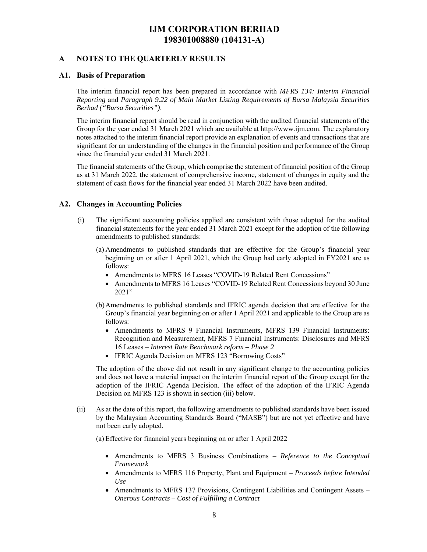### **A NOTES TO THE QUARTERLY RESULTS**

#### **A1. Basis of Preparation**

The interim financial report has been prepared in accordance with *MFRS 134: Interim Financial Reporting* and *Paragraph 9.22 of Main Market Listing Requirements of Bursa Malaysia Securities Berhad ("Bursa Securities")*.

The interim financial report should be read in conjunction with the audited financial statements of the Group for the year ended 31 March 2021 which are available at http://www.ijm.com. The explanatory notes attached to the interim financial report provide an explanation of events and transactions that are significant for an understanding of the changes in the financial position and performance of the Group since the financial year ended 31 March 2021.

The financial statements of the Group, which comprise the statement of financial position of the Group as at 31 March 2022, the statement of comprehensive income, statement of changes in equity and the statement of cash flows for the financial year ended 31 March 2022 have been audited.

#### **A2. Changes in Accounting Policies**

- (i) The significant accounting policies applied are consistent with those adopted for the audited financial statements for the year ended 31 March 2021 except for the adoption of the following amendments to published standards:
	- (a) Amendments to published standards that are effective for the Group's financial year beginning on or after 1 April 2021, which the Group had early adopted in FY2021 are as follows:
		- Amendments to MFRS 16 Leases "COVID-19 Related Rent Concessions"
		- Amendments to MFRS 16 Leases "COVID-19 Related Rent Concessions beyond 30 June 2021"
	- (b)Amendments to published standards and IFRIC agenda decision that are effective for the Group's financial year beginning on or after 1 April 2021 and applicable to the Group are as follows:
		- Amendments to MFRS 9 Financial Instruments, MFRS 139 Financial Instruments: Recognition and Measurement, MFRS 7 Financial Instruments: Disclosures and MFRS 16 Leases – *Interest Rate Benchmark reform – Phase 2*
		- IFRIC Agenda Decision on MFRS 123 "Borrowing Costs"

The adoption of the above did not result in any significant change to the accounting policies and does not have a material impact on the interim financial report of the Group except for the adoption of the IFRIC Agenda Decision. The effect of the adoption of the IFRIC Agenda Decision on MFRS 123 is shown in section (iii) below.

(ii) As at the date of this report, the following amendments to published standards have been issued by the Malaysian Accounting Standards Board ("MASB") but are not yet effective and have not been early adopted.

(a) Effective for financial years beginning on or after 1 April 2022

- Amendments to MFRS 3 Business Combinations *Reference to the Conceptual Framework*
- Amendments to MFRS 116 Property, Plant and Equipment *Proceeds before Intended Use*
- Amendments to MFRS 137 Provisions, Contingent Liabilities and Contingent Assets *Onerous Contracts – Cost of Fulfilling a Contract*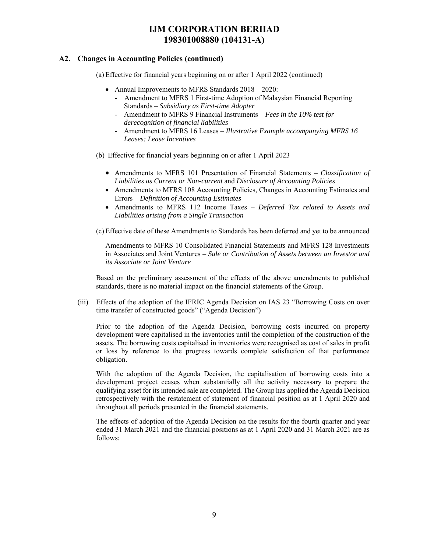### **A2. Changes in Accounting Policies (continued)**

- (a) Effective for financial years beginning on or after 1 April 2022 (continued)
	- Annual Improvements to MFRS Standards  $2018 2020$ :
		- Amendment to MFRS 1 First-time Adoption of Malaysian Financial Reporting Standards – *Subsidiary as First-time Adopter*
		- Amendment to MFRS 9 Financial Instruments *Fees in the 10% test for derecognition of financial liabilities*
		- Amendment to MFRS 16 Leases *Illustrative Example accompanying MFRS 16 Leases: Lease Incentives*
- (b) Effective for financial years beginning on or after 1 April 2023
	- Amendments to MFRS 101 Presentation of Financial Statements *Classification of Liabilities as Current or Non-current* and *Disclosure of Accounting Policies*
	- Amendments to MFRS 108 Accounting Policies, Changes in Accounting Estimates and Errors – *Definition of Accounting Estimates*
	- Amendments to MFRS 112 Income Taxes *Deferred Tax related to Assets and Liabilities arising from a Single Transaction*
- (c) Effective date of these Amendments to Standards has been deferred and yet to be announced

Amendments to MFRS 10 Consolidated Financial Statements and MFRS 128 Investments in Associates and Joint Ventures – *Sale or Contribution of Assets between an Investor and its Associate or Joint Venture* 

Based on the preliminary assessment of the effects of the above amendments to published standards, there is no material impact on the financial statements of the Group.

(iii) Effects of the adoption of the IFRIC Agenda Decision on IAS 23 "Borrowing Costs on over time transfer of constructed goods" ("Agenda Decision")

Prior to the adoption of the Agenda Decision, borrowing costs incurred on property development were capitalised in the inventories until the completion of the construction of the assets. The borrowing costs capitalised in inventories were recognised as cost of sales in profit or loss by reference to the progress towards complete satisfaction of that performance obligation.

With the adoption of the Agenda Decision, the capitalisation of borrowing costs into a development project ceases when substantially all the activity necessary to prepare the qualifying asset for its intended sale are completed. The Group has applied the Agenda Decision retrospectively with the restatement of statement of financial position as at 1 April 2020 and throughout all periods presented in the financial statements.

The effects of adoption of the Agenda Decision on the results for the fourth quarter and year ended 31 March 2021 and the financial positions as at 1 April 2020 and 31 March 2021 are as follows: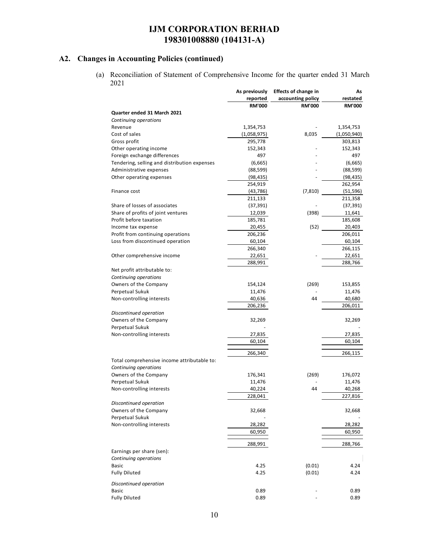# **A2. Changes in Accounting Policies (continued)**

(a) Reconciliation of Statement of Comprehensive Income for the quarter ended 31 March 2021

|                                              | As previously | <b>Effects of change in</b> | As            |
|----------------------------------------------|---------------|-----------------------------|---------------|
|                                              | reported      | accounting policy           | restated      |
|                                              | <b>RM'000</b> | <b>RM'000</b>               | <b>RM'000</b> |
| Quarter ended 31 March 2021                  |               |                             |               |
| Continuing operations                        |               |                             |               |
| Revenue                                      | 1,354,753     |                             | 1,354,753     |
| Cost of sales                                | (1,058,975)   | 8,035                       | (1,050,940)   |
| Gross profit                                 | 295,778       |                             | 303,813       |
| Other operating income                       | 152,343       |                             | 152,343       |
| Foreign exchange differences                 | 497           |                             | 497           |
| Tendering, selling and distribution expenses | (6,665)       |                             | (6,665)       |
| Administrative expenses                      | (88, 599)     |                             | (88, 599)     |
| Other operating expenses                     | (98, 435)     |                             | (98, 435)     |
|                                              | 254,919       |                             | 262,954       |
| Finance cost                                 | (43, 786)     | (7, 810)                    | (51, 596)     |
|                                              | 211,133       |                             | 211,358       |
| Share of losses of associates                | (37, 391)     |                             | (37, 391)     |
| Share of profits of joint ventures           | 12,039        | (398)                       | 11,641        |
| Profit before taxation                       | 185,781       |                             | 185,608       |
| Income tax expense                           | 20,455        | (52)                        | 20,403        |
| Profit from continuing operations            | 206,236       |                             | 206,011       |
| Loss from discontinued operation             | 60,104        |                             | 60,104        |
|                                              | 266,340       |                             | 266,115       |
| Other comprehensive income                   | 22,651        |                             | 22,651        |
|                                              | 288,991       |                             | 288,766       |
| Net profit attributable to:                  |               |                             |               |
| Continuing operations                        |               |                             |               |
| Owners of the Company                        | 154,124       | (269)                       | 153,855       |
| Perpetual Sukuk                              | 11,476        |                             | 11,476        |
| Non-controlling interests                    | 40,636        | 44                          | 40,680        |
|                                              | 206,236       |                             | 206,011       |
| Discontinued operation                       |               |                             |               |
| Owners of the Company                        | 32,269        |                             | 32,269        |
| Perpetual Sukuk                              |               |                             |               |
| Non-controlling interests                    | 27,835        |                             | 27,835        |
|                                              | 60,104        |                             | 60,104        |
|                                              |               |                             |               |
|                                              | 266,340       |                             | 266,115       |
| Total comprehensive income attributable to:  |               |                             |               |
| Continuing operations                        |               |                             |               |
| Owners of the Company                        | 176,341       | (269)                       | 176,072       |
| Perpetual Sukuk                              | 11,476        |                             | 11,476        |
| Non-controlling interests                    | 40,224        | 44                          | 40,268        |
|                                              | 228,041       |                             | 227,816       |
| Discontinued operation                       |               |                             |               |
| Owners of the Company                        | 32,668        |                             | 32,668        |
| Perpetual Sukuk                              |               |                             |               |
| Non-controlling interests                    | 28,282        |                             | 28,282        |
|                                              | 60,950        |                             | 60,950        |
|                                              | 288,991       |                             |               |
| Earnings per share (sen):                    |               |                             | 288,766       |
|                                              |               |                             |               |
| Continuing operations                        |               | (0.01)                      |               |
| Basic                                        | 4.25          |                             | 4.24          |
| <b>Fully Diluted</b>                         | 4.25          | (0.01)                      | 4.24          |
| Discontinued operation                       |               |                             |               |
| Basic                                        | 0.89          |                             | 0.89          |
| <b>Fully Diluted</b>                         | 0.89          |                             | 0.89          |
|                                              |               |                             |               |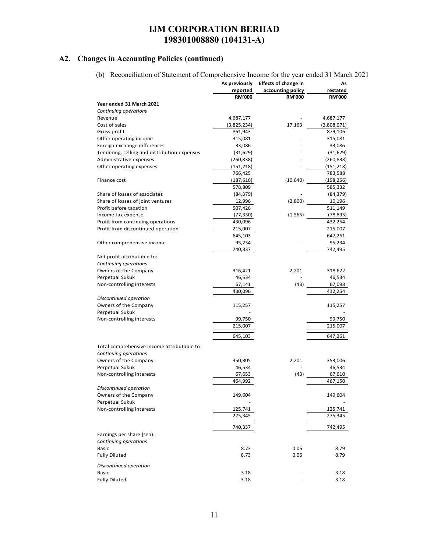# **A2. Changes in Accounting Policies (continued)**

(b) Reconciliation of Statement of Comprehensive Income for the year ended 31 March 2021

|                                              | As previously | <b>Effects of change in</b> | As            |
|----------------------------------------------|---------------|-----------------------------|---------------|
|                                              | reported      | accounting policy           | restated      |
|                                              | <b>RM'000</b> | <b>RM'000</b>               | <b>RM'000</b> |
| Year ended 31 March 2021                     |               |                             |               |
| Continuing operations                        |               |                             |               |
| Revenue                                      | 4,687,177     |                             | 4,687,177     |
| Cost of sales                                | (3,825,234)   | 17,163                      | (3,808,071)   |
| Gross profit                                 | 861,943       |                             | 879,106       |
| Other operating income                       | 315,081       |                             | 315,081       |
| Foreign exchange differences                 | 33,086        |                             | 33,086        |
| Tendering, selling and distribution expenses | (31, 629)     |                             | (31, 629)     |
| Administrative expenses                      | (260, 838)    |                             | (260, 838)    |
| Other operating expenses                     | (151, 218)    |                             | (151,218)     |
|                                              | 766,425       |                             | 783,588       |
| Finance cost                                 | (187, 616)    | (10,640)                    | (198, 256)    |
|                                              | 578,809       |                             | 585,332       |
| Share of losses of associates                | (84, 379)     |                             | (84, 379)     |
| Share of losses of joint ventures            | 12,996        | (2,800)                     | 10,196        |
| Profit before taxation                       | 507,426       |                             | 511,149       |
| Income tax expense                           | (77, 330)     | (1, 565)                    | (78, 895)     |
| Profit from continuing operations            | 430,096       |                             | 432,254       |
| Profit from discontinued operation           | 215,007       |                             | 215,007       |
|                                              | 645,103       |                             | 647,261       |
| Other comprehensive income                   | 95,234        |                             | 95,234        |
|                                              | 740, 337      |                             | 742,495       |
| Net profit attributable to:                  |               |                             |               |
| Continuing operations                        |               |                             |               |
| Owners of the Company                        | 316,421       | 2,201                       | 318,622       |
| Perpetual Sukuk                              | 46,534        |                             | 46,534        |
| Non-controlling interests                    | 67,141        | (43)                        | 67,098        |
|                                              | 430,096       |                             | 432,254       |
| Discontinued operation                       |               |                             |               |
| Owners of the Company                        | 115,257       |                             | 115,257       |
| Perpetual Sukuk                              |               |                             |               |
| Non-controlling interests                    | 99,750        |                             | 99,750        |
|                                              | 215,007       |                             | 215,007       |
|                                              | 645,103       |                             | 647,261       |
|                                              |               |                             |               |
| Total comprehensive income attributable to:  |               |                             |               |
| Continuing operations                        |               |                             |               |
| Owners of the Company                        | 350,805       | 2,201                       | 353,006       |
| Perpetual Sukuk                              | 46,534        |                             | 46,534        |
| Non-controlling interests                    | 67,653        | (43)                        | 67,610        |
|                                              | 464,992       |                             | 467,150       |
| Discontinued operation                       |               |                             |               |
| Owners of the Company                        | 149,604       |                             | 149,604       |
| Perpetual Sukuk                              |               |                             |               |
| Non-controlling interests                    | 125,741       |                             | 125,741       |
|                                              | 275,345       |                             | 275,345       |
|                                              | 740,337       |                             | 742,495       |
| Earnings per share (sen):                    |               |                             |               |
| Continuing operations                        |               |                             |               |
| <b>Basic</b>                                 | 8.73          | 0.06                        | 8.79          |
| <b>Fully Diluted</b>                         | 8.73          | 0.06                        | 8.79          |
|                                              |               |                             |               |
| Discontinued operation                       |               |                             |               |
| <b>Basic</b>                                 | 3.18          |                             | 3.18          |
| <b>Fully Diluted</b>                         | 3.18          |                             | 3.18          |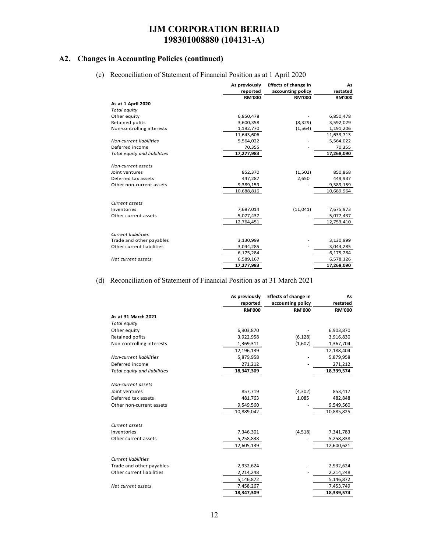### **A2. Changes in Accounting Policies (continued)**

(c) Reconciliation of Statement of Financial Position as at 1 April 2020

|                                | As previously<br>reported | <b>Effects of change in</b><br>accounting policy | As<br>restated |
|--------------------------------|---------------------------|--------------------------------------------------|----------------|
|                                | <b>RM'000</b>             | <b>RM'000</b>                                    | <b>RM'000</b>  |
| As at 1 April 2020             |                           |                                                  |                |
| Total equity                   |                           |                                                  |                |
| Other equity                   | 6,850,478                 |                                                  | 6,850,478      |
| Retained pofits                | 3,600,358                 | (8, 329)                                         | 3,592,029      |
| Non-controlling interests      | 1,192,770                 | (1, 564)                                         | 1,191,206      |
|                                | 11,643,606                |                                                  | 11,633,713     |
| <b>Non-current liabilities</b> | 5,564,022                 |                                                  | 5,564,022      |
| Deferred income                | 70,355                    |                                                  | 70,355         |
| Total equity and liabilities   | 17,277,983                |                                                  | 17,268,090     |
|                                |                           |                                                  |                |
| Non-current assets             |                           |                                                  |                |
| Joint ventures                 | 852,370                   | (1,502)                                          | 850,868        |
| Deferred tax assets            | 447,287                   | 2,650                                            | 449,937        |
| Other non-current assets       | 9,389,159                 |                                                  | 9,389,159      |
|                                | 10,688,816                |                                                  | 10,689,964     |
|                                |                           |                                                  |                |
| Current assets                 |                           |                                                  |                |
| Inventories                    | 7,687,014                 | (11, 041)                                        | 7,675,973      |
| Other current assets           | 5,077,437                 |                                                  | 5,077,437      |
|                                | 12,764,451                |                                                  | 12,753,410     |
|                                |                           |                                                  |                |
| <b>Current liabilities</b>     |                           |                                                  |                |
| Trade and other payables       | 3,130,999                 |                                                  | 3,130,999      |
| Other current liabilities      | 3,044,285                 |                                                  | 3,044,285      |
|                                | 6,175,284                 |                                                  | 6,175,284      |
| Net current assets             | 6,589,167                 |                                                  | 6,578,126      |
|                                | 17,277,983                |                                                  | 17,268,090     |

#### (d) Reconciliation of Statement of Financial Position as at 31 March 2021

|                                | As previously | <b>Effects of change in</b> | As            |
|--------------------------------|---------------|-----------------------------|---------------|
|                                | reported      | accounting policy           | restated      |
|                                | <b>RM'000</b> | <b>RM'000</b>               | <b>RM'000</b> |
| As at 31 March 2021            |               |                             |               |
| Total equity                   |               |                             |               |
| Other equity                   | 6,903,870     |                             | 6,903,870     |
| Retained pofits                | 3,922,958     | (6, 128)                    | 3,916,830     |
| Non-controlling interests      | 1,369,311     | (1,607)                     | 1,367,704     |
|                                | 12,196,139    |                             | 12,188,404    |
| <b>Non-current liabilities</b> | 5,879,958     |                             | 5,879,958     |
| Deferred income                | 271,212       |                             | 271,212       |
| Total equity and liabilities   | 18,347,309    |                             | 18,339,574    |
|                                |               |                             |               |
| Non-current assets             |               |                             |               |
| Joint ventures                 | 857,719       | (4,302)                     | 853,417       |
| Deferred tax assets            | 481,763       | 1,085                       | 482,848       |
| Other non-current assets       | 9,549,560     |                             | 9,549,560     |
|                                | 10,889,042    |                             | 10,885,825    |
| Current assets                 |               |                             |               |
| Inventories                    | 7,346,301     | (4,518)                     | 7,341,783     |
| Other current assets           | 5,258,838     |                             | 5,258,838     |
|                                | 12,605,139    |                             | 12,600,621    |
| <b>Current liabilities</b>     |               |                             |               |
|                                |               |                             |               |
| Trade and other payables       | 2,932,624     |                             | 2,932,624     |
| Other current liabilities      | 2,214,248     |                             | 2,214,248     |
|                                | 5,146,872     |                             | 5,146,872     |
| Net current assets             | 7,458,267     |                             | 7,453,749     |
|                                | 18,347,309    |                             | 18,339,574    |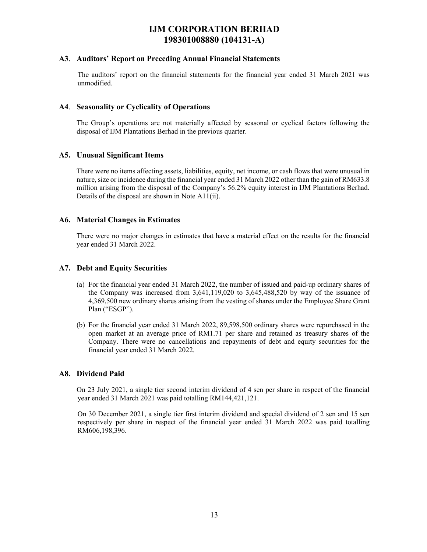#### **A3**. **Auditors' Report on Preceding Annual Financial Statements**

The auditors' report on the financial statements for the financial year ended 31 March 2021 was unmodified.

### **A4**. **Seasonality or Cyclicality of Operations**

 The Group's operations are not materially affected by seasonal or cyclical factors following the disposal of IJM Plantations Berhad in the previous quarter.

### **A5. Unusual Significant Items**

 There were no items affecting assets, liabilities, equity, net income, or cash flows that were unusual in nature, size or incidence during the financial year ended 31 March 2022 other than the gain of RM633.8 million arising from the disposal of the Company's 56.2% equity interest in IJM Plantations Berhad. Details of the disposal are shown in Note A11(ii).

#### **A6. Material Changes in Estimates**

There were no major changes in estimates that have a material effect on the results for the financial year ended 31 March 2022.

### **A7. Debt and Equity Securities**

- (a) For the financial year ended 31 March 2022, the number of issued and paid-up ordinary shares of the Company was increased from 3,641,119,020 to 3,645,488,520 by way of the issuance of 4,369,500 new ordinary shares arising from the vesting of shares under the Employee Share Grant Plan ("ESGP").
- (b) For the financial year ended 31 March 2022, 89,598,500 ordinary shares were repurchased in the open market at an average price of RM1.71 per share and retained as treasury shares of the Company. There were no cancellations and repayments of debt and equity securities for the financial year ended 31 March 2022.

#### **A8. Dividend Paid**

On 23 July 2021, a single tier second interim dividend of 4 sen per share in respect of the financial year ended 31 March 2021 was paid totalling RM144,421,121.

On 30 December 2021, a single tier first interim dividend and special dividend of 2 sen and 15 sen respectively per share in respect of the financial year ended 31 March 2022 was paid totalling RM606,198,396.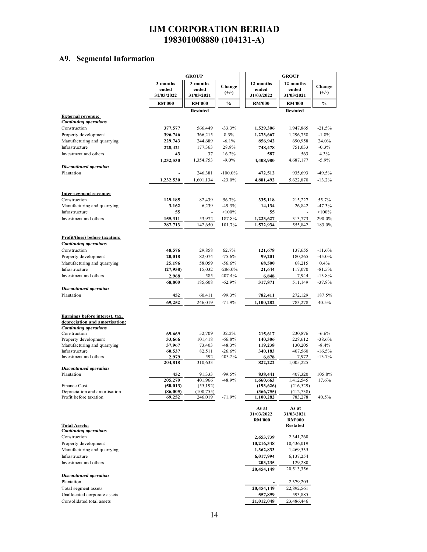# **A9. Segmental Information**

|                                                                  | <b>GROUP</b>        |                       |                        |                         | <b>GROUP</b>            |                      |  |
|------------------------------------------------------------------|---------------------|-----------------------|------------------------|-------------------------|-------------------------|----------------------|--|
|                                                                  | 3 months            | 3 months              | Change                 | 12 months               | 12 months               | Change               |  |
|                                                                  | ended<br>31/03/2022 | ended<br>31/03/2021   | $(+/-)$                | ended<br>31/03/2022     | ended<br>31/03/2021     | $(+/-)$              |  |
|                                                                  | <b>RM'000</b>       | <b>RM'000</b>         | $\%$                   | <b>RM'000</b>           | <b>RM'000</b>           | $\%$                 |  |
|                                                                  |                     | <b>Restated</b>       |                        |                         | <b>Restated</b>         |                      |  |
| <b>External revenue:</b>                                         |                     |                       |                        |                         |                         |                      |  |
| <b>Continuing operations</b>                                     |                     |                       |                        |                         |                         |                      |  |
| Construction<br>Property development                             | 377,577<br>396,746  | 566,449<br>366,215    | $-33.3%$<br>8.3%       | 1,529,306<br>1,273,667  | 1,947,865<br>1,296,758  | $-21.5%$<br>$-1.8%$  |  |
| Manufacturing and quarrying                                      | 229,743             | 244,689               | $-6.1%$                | 856,942                 | 690,958                 | 24.0%                |  |
| Infrastructure                                                   | 228,421             | 177,363               | 28.8%                  | 748,478                 | 751,033                 | $-0.3%$              |  |
| Investment and others                                            | 43                  | 37                    | 16.2%                  | 587                     | 563                     | 4.3%                 |  |
|                                                                  | 1,232,530           | 1,354,753             | $-9.0\%$               | 4,408,980               | 4,687,177               | $-5.9%$              |  |
| <b>Discontinued operation</b><br>Plantation                      |                     |                       |                        |                         |                         |                      |  |
|                                                                  | 1,232,530           | 246,381<br>1,601,134  | $-100.0\%$<br>$-23.0%$ | 472,512                 | 935,693<br>5,622,870    | $-49.5%$<br>$-13.2%$ |  |
|                                                                  |                     |                       |                        | 4,881,492               |                         |                      |  |
| Inter-segment revenue:                                           |                     |                       |                        |                         |                         |                      |  |
| Construction                                                     | 129,185             | 82,439                | 56.7%                  | 335,118                 | 215,227                 | 55.7%                |  |
| Manufacturing and quarrying                                      | 3,162               | 6,239                 | $-49.3%$               | 14,134                  | 26,842                  | $-47.3%$             |  |
| Infrastructure                                                   | 55                  |                       | $>100\%$               |                         | 55                      | $>100\%$             |  |
| Investment and others                                            | 155,311<br>287,713  | 53,972<br>142,650     | 187.8%<br>101.7%       | 1,223,627<br>1,572,934  | 313,773<br>555,842      | 290.0%<br>183.0%     |  |
|                                                                  |                     |                       |                        |                         |                         |                      |  |
| <b>Profit/(loss)</b> before taxation:                            |                     |                       |                        |                         |                         |                      |  |
| <b>Continuing operations</b>                                     |                     |                       |                        |                         |                         |                      |  |
| Construction                                                     | 48,576              | 29,858                | 62.7%                  | 121,678                 | 137,655                 | $-11.6%$             |  |
| Property development<br>Manufacturing and quarrying              | 20,018              | 82,074<br>58,059      | $-75.6%$<br>$-56.6%$   | 99,201                  | 180,265<br>68,215       | $-45.0%$<br>0.4%     |  |
| Infrastructure                                                   | 25,196<br>(27,958)  | 15,032                | $-286.0\%$             | 68,500<br>21,644        | 117,070                 | $-81.5%$             |  |
| Investment and others                                            | 2,968               | 585                   | 407.4%                 | 6,848                   | 7,944                   | $-13.8%$             |  |
|                                                                  | 68,800              | 185,608               | $-62.9%$               | 317,871                 | 511,149                 | $-37.8%$             |  |
| <b>Discontinued operation</b>                                    |                     |                       |                        |                         |                         |                      |  |
| Plantation                                                       | 452                 | 60,411                | $-99.3%$               | 782,411                 | 272,129                 | 187.5%               |  |
|                                                                  | 69,252              | 246,019               | $-71.9%$               | 1,100,282               | 783,278                 | 40.5%                |  |
|                                                                  |                     |                       |                        |                         |                         |                      |  |
| Earnings before interest, tax,<br>depreciation and amortisation: |                     |                       |                        |                         |                         |                      |  |
| <b>Continuing operations</b>                                     |                     |                       |                        |                         |                         |                      |  |
| Construction                                                     | 69,669              | 52,709                | 32.2%                  | 215,617                 | 230,876                 | $-6.6%$              |  |
| Property development<br>Manufacturing and quarrying              | 33,666<br>37,967    | 101,418<br>73,403     | $-66.8%$<br>$-48.3%$   | 140,306<br>119,238      | 228,612<br>130,205      | $-38.6%$<br>$-8.4%$  |  |
| Infrastructure                                                   | 60,537              | 82,511                | $-26.6%$               | 340,183                 | 407,560                 | $-16.5%$             |  |
| Investment and others                                            | 2,979               | 592                   | 403.2%                 | 6,878                   | 7,972                   | $-13.7%$             |  |
| <b>Discontinued operation</b>                                    | 204,818             | 310,633               |                        | 822,222                 | 1,005,225               |                      |  |
| Plantation                                                       | 452                 | 91,333                | $-99.5%$               | 838,441                 | 407,320                 | 105.8%               |  |
|                                                                  | 205,270             | 401.966               | $-48.9%$               | 1,660,663               | 1,412,545               | 17.6%                |  |
| Finance Cost                                                     | (50, 013)           | (55, 192)             |                        | (193, 626)              | (216, 529)              |                      |  |
| Depreciation and amortisation<br>Profit before taxation          | (86,005)<br>69,252  | (100, 755)<br>246,019 | $-71.9%$               | (366, 755)<br>1,100,282 | (412, 738)<br>783,278   | 40.5%                |  |
|                                                                  |                     |                       |                        |                         |                         |                      |  |
|                                                                  |                     |                       |                        | As at<br>31/03/2022     | As at<br>31/03/2021     |                      |  |
|                                                                  |                     |                       |                        | <b>RM'000</b>           | <b>RM'000</b>           |                      |  |
| <b>Total Assets:</b>                                             |                     |                       |                        |                         | <b>Restated</b>         |                      |  |
| <b>Continuing operations</b><br>Construction                     |                     |                       |                        |                         |                         |                      |  |
| Property development                                             |                     |                       |                        | 2,653,739<br>10,216,348 | 2,341,268<br>10,436,019 |                      |  |
| Manufacturing and quarrying                                      |                     |                       |                        | 1,362,833               | 1,469,535               |                      |  |
| Infrastructure                                                   |                     |                       |                        | 6,017,994               | 6,137,254               |                      |  |
| Investment and others                                            |                     |                       |                        | 203,235                 | 129,280                 |                      |  |
|                                                                  |                     |                       |                        | 20,454,149              | 20,513,356              |                      |  |
| <b>Discontinued operation</b><br>Plantation                      |                     |                       |                        |                         |                         |                      |  |
| Total segment assets                                             |                     |                       |                        | 20,454,149              | 2,379,205<br>22,892,561 |                      |  |
| Unallocated corporate assets                                     |                     |                       |                        | 557,899                 | 593,885                 |                      |  |
| Consolidated total assets                                        |                     |                       |                        | 21,012,048              | 23,486,446              |                      |  |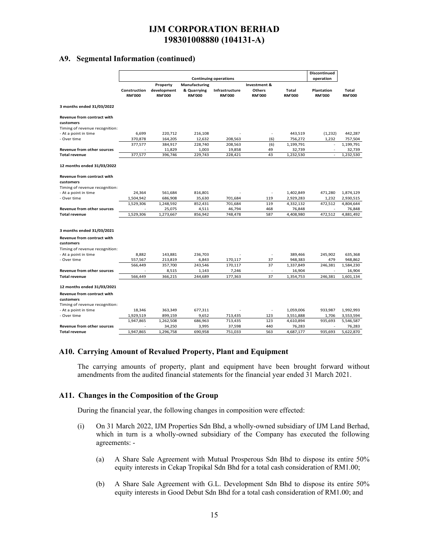### **A9. Segmental Information (continued)**

|                                                                                  |                               |                                          |                                               |                                 |                                                |                        | <b>Discontinued</b>         |                        |
|----------------------------------------------------------------------------------|-------------------------------|------------------------------------------|-----------------------------------------------|---------------------------------|------------------------------------------------|------------------------|-----------------------------|------------------------|
|                                                                                  |                               |                                          |                                               | <b>Continuing operations</b>    |                                                |                        | operation                   |                        |
|                                                                                  | Construction<br><b>RM'000</b> | Property<br>development<br><b>RM'000</b> | Manufacturing<br>& Quarrying<br><b>RM'000</b> | Infrastructure<br><b>RM'000</b> | Investment &<br><b>Others</b><br><b>RM'000</b> | Total<br><b>RM'000</b> | Plantation<br><b>RM'000</b> | Total<br><b>RM'000</b> |
| 3 months ended 31/03/2022                                                        |                               |                                          |                                               |                                 |                                                |                        |                             |                        |
| <b>Revenue from contract with</b><br>customers<br>Timing of revenue recognition: |                               |                                          |                                               |                                 |                                                |                        |                             |                        |
| - At a point in time                                                             | 6,699                         | 220,712                                  | 216,108                                       |                                 | $\overline{\phantom{a}}$                       | 443,519                | (1, 232)                    | 442,287                |
| - Over time                                                                      | 370,878                       | 164,205                                  | 12,632                                        | 208,563                         | (6)                                            | 756,272                | 1,232                       | 757,504                |
|                                                                                  | 377,577                       | 384,917                                  | 228,740                                       | 208,563                         | (6)                                            | 1,199,791              | ×,                          | 1,199,791              |
| <b>Revenue from other sources</b>                                                |                               | 11,829                                   | 1,003                                         | 19,858                          | 49                                             | 32,739                 |                             | 32,739                 |
| <b>Total revenue</b>                                                             | 377,577                       | 396,746                                  | 229,743                                       | 228,421                         | 43                                             | 1,232,530              | ä,                          | 1,232,530              |
| 12 months ended 31/03/2022                                                       |                               |                                          |                                               |                                 |                                                |                        |                             |                        |
|                                                                                  |                               |                                          |                                               |                                 |                                                |                        |                             |                        |
| <b>Revenue from contract with</b>                                                |                               |                                          |                                               |                                 |                                                |                        |                             |                        |
| customers                                                                        |                               |                                          |                                               |                                 |                                                |                        |                             |                        |
| Timing of revenue recognition:                                                   |                               |                                          |                                               |                                 |                                                |                        |                             |                        |
| - At a point in time                                                             | 24,364                        | 561,684                                  | 816,801                                       |                                 |                                                | 1,402,849              | 471,280                     | 1,874,129              |
| - Over time                                                                      | 1,504,942                     | 686,908                                  | 35,630                                        | 701,684                         | 119                                            | 2,929,283              | 1,232                       | 2,930,515              |
| <b>Revenue from other sources</b>                                                | 1,529,306                     | 1,248,592                                | 852,431                                       | 701,684                         | 119                                            | 4,332,132              | 472,512                     | 4,804,644              |
|                                                                                  |                               | 25,075                                   | 4,511                                         | 46,794                          | 468                                            | 76,848                 |                             | 76,848                 |
| <b>Total revenue</b>                                                             | 1,529,306                     | 1,273,667                                | 856,942                                       | 748,478                         | 587                                            | 4,408,980              | 472,512                     | 4,881,492              |
| 3 months ended 31/03/2021                                                        |                               |                                          |                                               |                                 |                                                |                        |                             |                        |
| Revenue from contract with<br>customers                                          |                               |                                          |                                               |                                 |                                                |                        |                             |                        |
| Timing of revenue recognition:                                                   |                               |                                          |                                               |                                 |                                                |                        |                             |                        |
| - At a point in time                                                             | 8,882                         | 143,881                                  | 236,703                                       |                                 | ä,                                             | 389,466                | 245,902                     | 635,368                |
| - Over time                                                                      | 557,567                       | 213,819                                  | 6,843                                         | 170,117                         | 37                                             | 948,383                | 479                         | 948,862                |
|                                                                                  | 566,449                       | 357,700                                  | 243,546                                       | 170,117                         | 37                                             | 1,337,849              | 246,381                     | 1,584,230              |
| <b>Revenue from other sources</b>                                                |                               | 8,515                                    | 1,143                                         | 7,246                           | ÷,                                             | 16,904                 |                             | 16,904                 |
| <b>Total revenue</b>                                                             | 566,449                       | 366,215                                  | 244,689                                       | 177,363                         | 37                                             | 1,354,753              | 246,381                     | 1,601,134              |
| 12 months ended 31/03/2021                                                       |                               |                                          |                                               |                                 |                                                |                        |                             |                        |
| <b>Revenue from contract with</b>                                                |                               |                                          |                                               |                                 |                                                |                        |                             |                        |
| customers                                                                        |                               |                                          |                                               |                                 |                                                |                        |                             |                        |
| Timing of revenue recognition:                                                   |                               |                                          |                                               |                                 |                                                |                        |                             |                        |
| - At a point in time                                                             | 18,346                        | 363,349                                  | 677,311                                       |                                 | ä,                                             | 1,059,006              | 933,987                     | 1,992,993              |
| - Over time                                                                      | 1,929,519                     | 899,159                                  | 9,652                                         | 713,435                         | 123                                            | 3,551,888              | 1,706                       | 3,553,594              |
|                                                                                  | 1,947,865                     | 1,262,508                                | 686,963                                       | 713,435                         | 123                                            | 4,610,894              | 935,693                     | 5,546,587              |
| <b>Revenue from other sources</b>                                                |                               | 34,250                                   | 3,995                                         | 37,598                          | 440                                            | 76,283                 |                             | 76,283                 |
| <b>Total revenue</b>                                                             | 1,947,865                     | 1,296,758                                | 690,958                                       | 751,033                         | 563                                            | 4,687,177              | 935,693                     | 5,622,870              |

#### **A10. Carrying Amount of Revalued Property, Plant and Equipment**

The carrying amounts of property, plant and equipment have been brought forward without amendments from the audited financial statements for the financial year ended 31 March 2021.

#### **A11. Changes in the Composition of the Group**

During the financial year, the following changes in composition were effected:

- (i) On 31 March 2022, IJM Properties Sdn Bhd, a wholly-owned subsidiary of IJM Land Berhad, which in turn is a wholly-owned subsidiary of the Company has executed the following agreements: -
	- (a) A Share Sale Agreement with Mutual Prosperous Sdn Bhd to dispose its entire 50% equity interests in Cekap Tropikal Sdn Bhd for a total cash consideration of RM1.00;
	- (b) A Share Sale Agreement with G.L. Development Sdn Bhd to dispose its entire 50% equity interests in Good Debut Sdn Bhd for a total cash consideration of RM1.00; and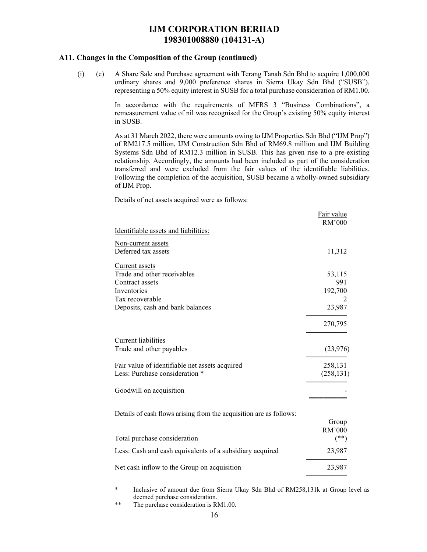### **A11. Changes in the Composition of the Group (continued)**

(i) (c) A Share Sale and Purchase agreement with Terang Tanah Sdn Bhd to acquire 1,000,000 ordinary shares and 9,000 preference shares in Sierra Ukay Sdn Bhd ("SUSB"), representing a 50% equity interest in SUSB for a total purchase consideration of RM1.00.

> In accordance with the requirements of MFRS 3 "Business Combinations", a remeasurement value of nil was recognised for the Group's existing 50% equity interest in SUSB.

> As at 31 March 2022, there were amounts owing to IJM Properties Sdn Bhd ("IJM Prop") of RM217.5 million, IJM Construction Sdn Bhd of RM69.8 million and IJM Building Systems Sdn Bhd of RM12.3 million in SUSB. This has given rise to a pre-existing relationship. Accordingly, the amounts had been included as part of the consideration transferred and were excluded from the fair values of the identifiable liabilities. Following the completion of the acquisition, SUSB became a wholly-owned subsidiary of IJM Prop.

Details of net assets acquired were as follows:

|                                                                    | Fair value<br>RM'000 |
|--------------------------------------------------------------------|----------------------|
| Identifiable assets and liabilities:                               |                      |
| Non-current assets                                                 |                      |
| Deferred tax assets                                                | 11,312               |
| Current assets                                                     |                      |
| Trade and other receivables                                        | 53,115               |
| Contract assets                                                    | 991                  |
| Inventories                                                        | 192,700              |
| Tax recoverable                                                    | 2                    |
| Deposits, cash and bank balances                                   | 23,987               |
|                                                                    | 270,795              |
| Current liabilities                                                |                      |
| Trade and other payables                                           | (23, 976)            |
| Fair value of identifiable net assets acquired                     | 258,131              |
| Less: Purchase consideration *                                     | (258, 131)           |
| Goodwill on acquisition                                            |                      |
|                                                                    |                      |
| Details of cash flows arising from the acquisition are as follows: |                      |
|                                                                    | Group                |
|                                                                    | RM'000               |
| Total purchase consideration                                       | $(**)$               |
| Less: Cash and cash equivalents of a subsidiary acquired           | 23,987               |
| Net cash inflow to the Group on acquisition                        | 23,987               |
|                                                                    |                      |

\* Inclusive of amount due from Sierra Ukay Sdn Bhd of RM258,131k at Group level as deemed purchase consideration.

\*\* The purchase consideration is RM1.00.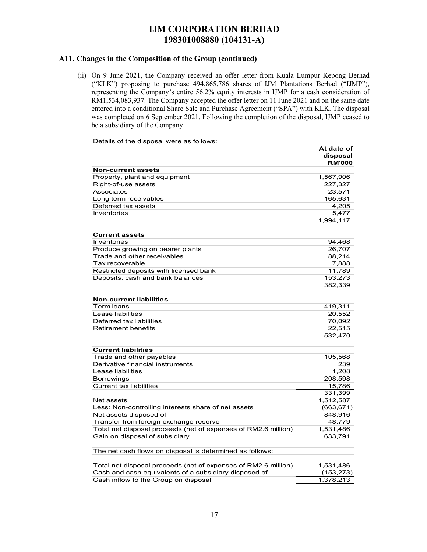### **A11. Changes in the Composition of the Group (continued)**

(ii) On 9 June 2021, the Company received an offer letter from Kuala Lumpur Kepong Berhad ("KLK") proposing to purchase 494,865,786 shares of IJM Plantations Berhad ("IJMP"), representing the Company's entire 56.2% equity interests in IJMP for a cash consideration of RM1,534,083,937. The Company accepted the offer letter on 11 June 2021 and on the same date entered into a conditional Share Sale and Purchase Agreement ("SPA") with KLK. The disposal was completed on 6 September 2021. Following the completion of the disposal, IJMP ceased to be a subsidiary of the Company.

| Details of the disposal were as follows:                       |               |
|----------------------------------------------------------------|---------------|
|                                                                | At date of    |
|                                                                | disposal      |
|                                                                | <b>RM'000</b> |
| <b>Non-current assets</b>                                      |               |
| Property, plant and equipment                                  | 1,567,906     |
| Right-of-use assets                                            | 227,327       |
| Associates                                                     | 23,571        |
| Long term receivables                                          | 165,631       |
| Deferred tax assets                                            | 4,205         |
| <b>Inventories</b>                                             | 5,477         |
|                                                                | 1,994,117     |
|                                                                |               |
| <b>Current assets</b>                                          |               |
| Inventories                                                    | 94,468        |
| Produce growing on bearer plants                               | 26,707        |
| Trade and other receivables                                    | 88,214        |
| Tax recoverable                                                | 7,888         |
| Restricted deposits with licensed bank                         | 11,789        |
| Deposits, cash and bank balances                               | 153,273       |
|                                                                | 382,339       |
|                                                                |               |
| <b>Non-current liabilities</b>                                 |               |
| Term loans                                                     | 419,311       |
| Lease liabilities                                              | 20,552        |
| Deferred tax liabilities                                       | 70,092        |
| <b>Retirement benefits</b>                                     | 22,515        |
|                                                                | 532.470       |
|                                                                |               |
| <b>Current liabilities</b>                                     |               |
| Trade and other payables                                       | 105,568       |
| Derivative financial instruments                               | 239           |
| Lease liabilities                                              | 1,208         |
| Borrowings                                                     | 208,598       |
| <b>Current tax liabilities</b>                                 | 15,786        |
|                                                                | 331,399       |
| Net assets                                                     | 1,512,587     |
| Less: Non-controlling interests share of net assets            | (663, 671)    |
| Net assets disposed of                                         | 848,916       |
| Transfer from foreign exchange reserve                         | 48,779        |
| Total net disposal proceeds (net of expenses of RM2.6 million) | 1,531,486     |
| Gain on disposal of subsidiary                                 | 633,791       |
|                                                                |               |
| The net cash flows on disposal is determined as follows:       |               |
|                                                                |               |
| Total net disposal proceeds (net of expenses of RM2.6 million) | 1,531,486     |
| Cash and cash equivalents of a subsidiary disposed of          | (153, 273)    |
| Cash inflow to the Group on disposal                           | 1,378,213     |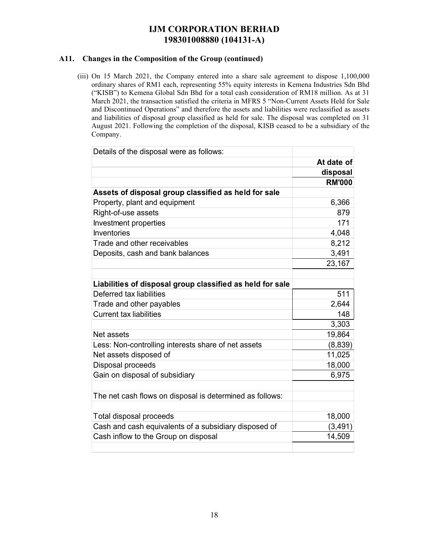### **A11. Changes in the Composition of the Group (continued)**

(iii) On 15 March 2021, the Company entered into a share sale agreement to dispose 1,100,000 ordinary shares of RM1 each, representing 55% equity interests in Kemena Industries Sdn Bhd ("KISB") to Kemena Global Sdn Bhd for a total cash consideration of RM18 million. As at 31 March 2021, the transaction satisfied the criteria in MFRS 5 "Non-Current Assets Held for Sale and Discontinued Operations" and therefore the assets and liabilities were reclassified as assets and liabilities of disposal group classified as held for sale. The disposal was completed on 31 August 2021. Following the completion of the disposal, KISB ceased to be a subsidiary of the Company.

| Details of the disposal were as follows:                  |               |
|-----------------------------------------------------------|---------------|
|                                                           | At date of    |
|                                                           | disposal      |
|                                                           | <b>RM'000</b> |
| Assets of disposal group classified as held for sale      |               |
| Property, plant and equipment                             | 6,366         |
| Right-of-use assets                                       | 879           |
| Investment properties                                     | 171           |
| Inventories                                               | 4,048         |
| Trade and other receivables                               | 8,212         |
| Deposits, cash and bank balances                          | 3,491         |
|                                                           | 23,167        |
|                                                           |               |
| Liabilities of disposal group classified as held for sale |               |
| Deferred tax liabilities                                  | 511           |
| Trade and other payables                                  | 2,644         |
| <b>Current tax liabilities</b>                            | 148           |
|                                                           | 3,303         |
| Net assets                                                | 19,864        |
| Less: Non-controlling interests share of net assets       | (8,839)       |
| Net assets disposed of                                    | 11,025        |
| Disposal proceeds                                         | 18,000        |
| Gain on disposal of subsidiary                            | 6,975         |
|                                                           |               |
| The net cash flows on disposal is determined as follows:  |               |
|                                                           |               |
| Total disposal proceeds                                   | 18,000        |
| Cash and cash equivalents of a subsidiary disposed of     | (3, 491)      |
| Cash inflow to the Group on disposal                      | 14,509        |
|                                                           |               |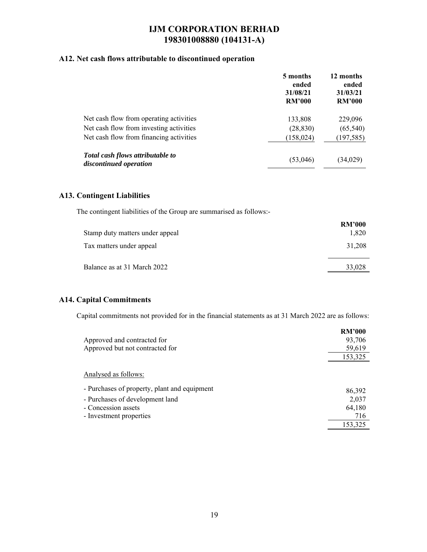### **A12. Net cash flows attributable to discontinued operation**

|                                                            | 5 months<br>ended<br>31/08/21<br><b>RM'000</b> | 12 months<br>ended<br>31/03/21<br><b>RM'000</b> |
|------------------------------------------------------------|------------------------------------------------|-------------------------------------------------|
| Net cash flow from operating activities                    | 133,808                                        | 229,096                                         |
| Net cash flow from investing activities                    | (28, 830)                                      | (65, 540)                                       |
| Net cash flow from financing activities                    | (158, 024)                                     | (197, 585)                                      |
| Total cash flows attributable to<br>discontinued operation | (53,046)                                       | (34, 029)                                       |

### **A13. Contingent Liabilities**

The contingent liabilities of the Group are summarised as follows:-

|                                 | <b>RM'000</b> |
|---------------------------------|---------------|
| Stamp duty matters under appeal | 1,820         |
| Tax matters under appeal        | 31,208        |
| Balance as at 31 March 2022     | 33,028        |

### **A14. Capital Commitments**

Capital commitments not provided for in the financial statements as at 31 March 2022 are as follows:

|                                              | <b>RM'000</b> |
|----------------------------------------------|---------------|
| Approved and contracted for                  | 93,706        |
| Approved but not contracted for              | 59,619        |
|                                              | 153,325       |
| Analysed as follows:                         |               |
| - Purchases of property, plant and equipment | 86,392        |
| - Purchases of development land              | 2,037         |
| - Concession assets                          | 64,180        |
| - Investment properties                      | 716           |
|                                              | 153,325       |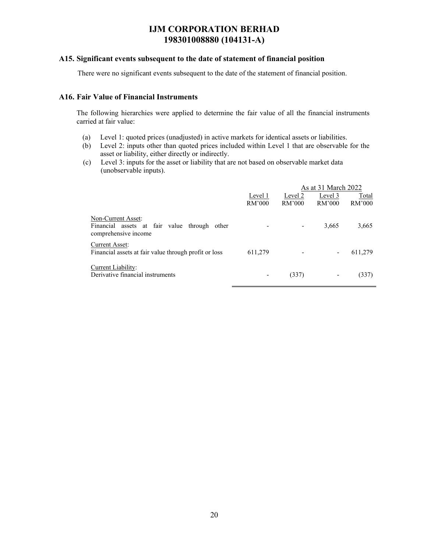#### **A15. Significant events subsequent to the date of statement of financial position**

There were no significant events subsequent to the date of the statement of financial position.

### **A16. Fair Value of Financial Instruments**

The following hierarchies were applied to determine the fair value of all the financial instruments carried at fair value:

- (a) Level 1: quoted prices (unadjusted) in active markets for identical assets or liabilities.
- (b) Level 2: inputs other than quoted prices included within Level 1 that are observable for the asset or liability, either directly or indirectly.
- (c) Level 3: inputs for the asset or liability that are not based on observable market data (unobservable inputs).

|                                                                                            |         |         | As at 31 March 2022 |         |
|--------------------------------------------------------------------------------------------|---------|---------|---------------------|---------|
|                                                                                            | Level 1 | Level 2 | Level 3             | Total   |
|                                                                                            | RM'000  | RM'000  | RM'000              | RM'000  |
| Non-Current Asset:<br>Financial assets at fair value through other<br>comprehensive income |         |         | 3,665               | 3,665   |
| Current Asset:<br>Financial assets at fair value through profit or loss                    | 611,279 |         |                     | 611,279 |
| Current Liability:<br>Derivative financial instruments                                     |         | (337)   | -                   | (337)   |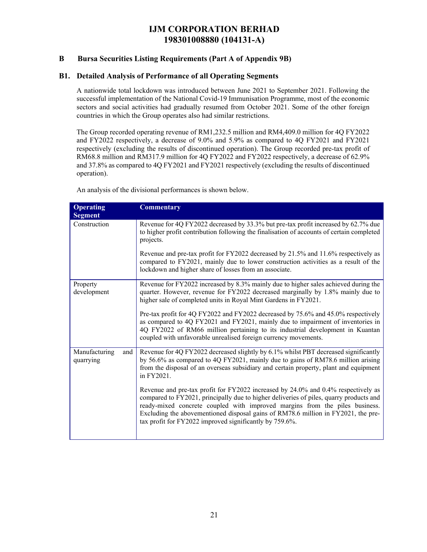### **B Bursa Securities Listing Requirements (Part A of Appendix 9B)**

### **B1. Detailed Analysis of Performance of all Operating Segments**

A nationwide total lockdown was introduced between June 2021 to September 2021. Following the successful implementation of the National Covid-19 Immunisation Programme, most of the economic sectors and social activities had gradually resumed from October 2021. Some of the other foreign countries in which the Group operates also had similar restrictions.

The Group recorded operating revenue of RM1,232.5 million and RM4,409.0 million for 4Q FY2022 and FY2022 respectively, a decrease of 9.0% and 5.9% as compared to 4Q FY2021 and FY2021 respectively (excluding the results of discontinued operation). The Group recorded pre-tax profit of RM68.8 million and RM317.9 million for 4Q FY2022 and FY2022 respectively, a decrease of 62.9% and 37.8% as compared to 4Q FY2021 and FY2021 respectively (excluding the results of discontinued operation).

An analysis of the divisional performances is shown below.

| <b>Operating</b><br><b>Segment</b> | <b>Commentary</b>                                                                                                                                                                                                                                                                                                                                                                                          |
|------------------------------------|------------------------------------------------------------------------------------------------------------------------------------------------------------------------------------------------------------------------------------------------------------------------------------------------------------------------------------------------------------------------------------------------------------|
| Construction                       | Revenue for 4Q FY2022 decreased by 33.3% but pre-tax profit increased by 62.7% due<br>to higher profit contribution following the finalisation of accounts of certain completed<br>projects.                                                                                                                                                                                                               |
|                                    | Revenue and pre-tax profit for FY2022 decreased by 21.5% and 11.6% respectively as<br>compared to FY2021, mainly due to lower construction activities as a result of the<br>lockdown and higher share of losses from an associate.                                                                                                                                                                         |
| Property<br>development            | Revenue for FY2022 increased by 8.3% mainly due to higher sales achieved during the<br>quarter. However, revenue for FY2022 decreased marginally by 1.8% mainly due to<br>higher sale of completed units in Royal Mint Gardens in FY2021.                                                                                                                                                                  |
|                                    | Pre-tax profit for 4Q FY2022 and FY2022 decreased by 75.6% and 45.0% respectively<br>as compared to 4Q FY2021 and FY2021, mainly due to impairment of inventories in<br>4Q FY2022 of RM66 million pertaining to its industrial development in Kuantan<br>coupled with unfavorable unrealised foreign currency movements.                                                                                   |
| Manufacturing<br>and<br>quarrying  | Revenue for 4Q FY2022 decreased slightly by 6.1% whilst PBT decreased significantly<br>by 56.6% as compared to 4Q FY2021, mainly due to gains of RM78.6 million arising<br>from the disposal of an overseas subsidiary and certain property, plant and equipment<br>in FY2021.                                                                                                                             |
|                                    | Revenue and pre-tax profit for FY2022 increased by 24.0% and 0.4% respectively as<br>compared to FY2021, principally due to higher deliveries of piles, quarry products and<br>ready-mixed concrete coupled with improved margins from the piles business.<br>Excluding the abovementioned disposal gains of RM78.6 million in FY2021, the pre-<br>tax profit for FY2022 improved significantly by 759.6%. |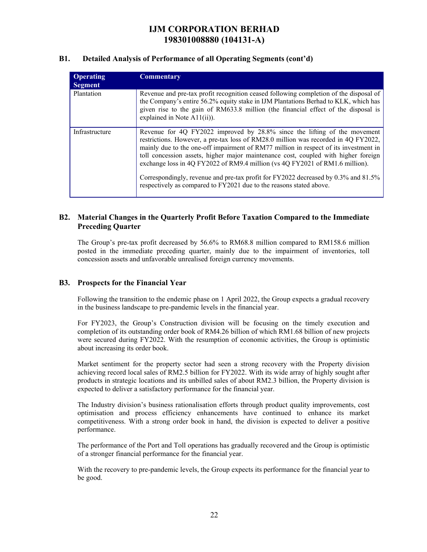### **B1. Detailed Analysis of Performance of all Operating Segments (cont'd)**

| <b>Operating</b><br><b>Segment</b> | <b>Commentary</b>                                                                                                                                                                                                                                                                                                                                                                                                                                                                                                                                                                          |
|------------------------------------|--------------------------------------------------------------------------------------------------------------------------------------------------------------------------------------------------------------------------------------------------------------------------------------------------------------------------------------------------------------------------------------------------------------------------------------------------------------------------------------------------------------------------------------------------------------------------------------------|
| Plantation                         | Revenue and pre-tax profit recognition ceased following completion of the disposal of<br>the Company's entire 56.2% equity stake in IJM Plantations Berhad to KLK, which has<br>given rise to the gain of RM633.8 million (the financial effect of the disposal is<br>explained in Note $A11(ii)$ ).                                                                                                                                                                                                                                                                                       |
| Infrastructure                     | Revenue for 4Q FY2022 improved by 28.8% since the lifting of the movement<br>restrictions. However, a pre-tax loss of RM28.0 million was recorded in 4Q FY2022,<br>mainly due to the one-off impairment of RM77 million in respect of its investment in<br>toll concession assets, higher major maintenance cost, coupled with higher foreign<br>exchange loss in 4Q FY2022 of RM9.4 million (vs 4Q FY2021 of RM1.6 million).<br>Correspondingly, revenue and pre-tax profit for FY2022 decreased by 0.3% and 81.5%<br>respectively as compared to FY2021 due to the reasons stated above. |

### **B2. Material Changes in the Quarterly Profit Before Taxation Compared to the Immediate Preceding Quarter**

The Group's pre-tax profit decreased by 56.6% to RM68.8 million compared to RM158.6 million posted in the immediate preceding quarter, mainly due to the impairment of inventories, toll concession assets and unfavorable unrealised foreign currency movements.

### **B3. Prospects for the Financial Year**

Following the transition to the endemic phase on 1 April 2022, the Group expects a gradual recovery in the business landscape to pre-pandemic levels in the financial year.

For FY2023, the Group's Construction division will be focusing on the timely execution and completion of its outstanding order book of RM4.26 billion of which RM1.68 billion of new projects were secured during FY2022. With the resumption of economic activities, the Group is optimistic about increasing its order book.

Market sentiment for the property sector had seen a strong recovery with the Property division achieving record local sales of RM2.5 billion for FY2022. With its wide array of highly sought after products in strategic locations and its unbilled sales of about RM2.3 billion, the Property division is expected to deliver a satisfactory performance for the financial year.

The Industry division's business rationalisation efforts through product quality improvements, cost optimisation and process efficiency enhancements have continued to enhance its market competitiveness. With a strong order book in hand, the division is expected to deliver a positive performance.

The performance of the Port and Toll operations has gradually recovered and the Group is optimistic of a stronger financial performance for the financial year.

With the recovery to pre-pandemic levels, the Group expects its performance for the financial year to be good.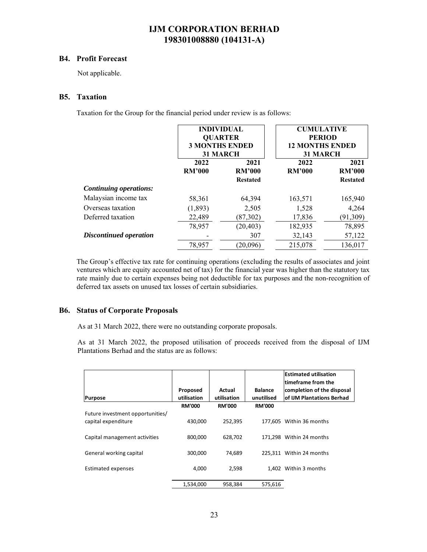#### **B4. Profit Forecast**

Not applicable.

### **B5. Taxation**

Taxation for the Group for the financial period under review is as follows:

|                               | <b>INDIVIDUAL</b><br><b>QUARTER</b><br><b>3 MONTHS ENDED</b><br><b>31 MARCH</b> |                                          | <b>CUMULATIVE</b><br><b>PERIOD</b><br><b>12 MONTHS ENDED</b><br><b>31 MARCH</b> |                                          |  |
|-------------------------------|---------------------------------------------------------------------------------|------------------------------------------|---------------------------------------------------------------------------------|------------------------------------------|--|
|                               | 2022<br><b>RM'000</b>                                                           | 2021<br><b>RM'000</b><br><b>Restated</b> | 2022<br><b>RM'000</b>                                                           | 2021<br><b>RM'000</b><br><b>Restated</b> |  |
| <b>Continuing operations:</b> |                                                                                 |                                          |                                                                                 |                                          |  |
| Malaysian income tax          | 58,361                                                                          | 64,394                                   | 163,571                                                                         | 165,940                                  |  |
| Overseas taxation             | (1,893)                                                                         | 2,505                                    | 1,528                                                                           | 4,264                                    |  |
| Deferred taxation             | 22,489                                                                          | (87, 302)                                | 17,836                                                                          | (91,309)                                 |  |
|                               | 78,957                                                                          | (20, 403)                                | 182,935                                                                         | 78,895                                   |  |
| Discontinued operation        |                                                                                 | 307                                      | 32,143                                                                          | 57,122                                   |  |
|                               | 78,957                                                                          | (20,096)                                 | 215,078                                                                         | 136,017                                  |  |

The Group's effective tax rate for continuing operations (excluding the results of associates and joint ventures which are equity accounted net of tax) for the financial year was higher than the statutory tax rate mainly due to certain expenses being not deductible for tax purposes and the non-recognition of deferred tax assets on unused tax losses of certain subsidiaries.

### **B6. Status of Corporate Proposals**

As at 31 March 2022, there were no outstanding corporate proposals.

As at 31 March 2022, the proposed utilisation of proceeds received from the disposal of IJM Plantations Berhad and the status are as follows:

|                                  |               |               |                | <b>Estimated utilisation</b><br>timeframe from the |
|----------------------------------|---------------|---------------|----------------|----------------------------------------------------|
|                                  | Proposed      | Actual        | <b>Balance</b> | completion of the disposal                         |
| Purpose                          | utilisation   | utilisation   | unutilised     | of IJM Plantations Berhad                          |
|                                  | <b>RM'000</b> | <b>RM'000</b> | <b>RM'000</b>  |                                                    |
| Future investment opportunities/ |               |               |                |                                                    |
| capital expenditure              | 430,000       | 252,395       |                | 177.605 Within 36 months                           |
|                                  |               |               |                |                                                    |
| Capital management activities    | 800.000       | 628.702       |                | 171.298 Within 24 months                           |
|                                  |               |               |                |                                                    |
| General working capital          | 300.000       | 74.689        |                | 225.311 Within 24 months                           |
|                                  |               |               |                |                                                    |
| <b>Estimated expenses</b>        | 4,000         | 2,598         |                | 1.402 Within 3 months                              |
|                                  |               |               |                |                                                    |
|                                  | 1,534,000     | 958,384       | 575,616        |                                                    |
|                                  |               |               |                |                                                    |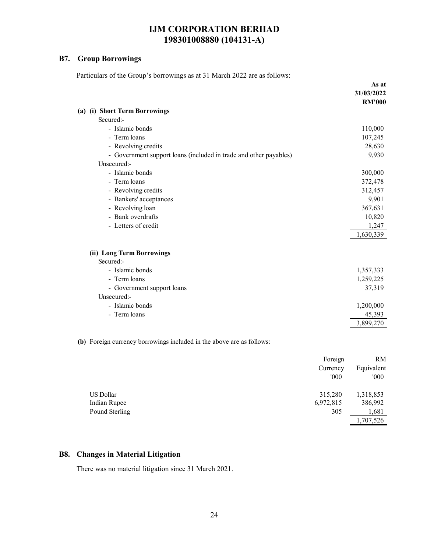### **B7. Group Borrowings**

Particulars of the Group's borrowings as at 31 March 2022 are as follows:

|                                                                       |         | As at<br>31/03/2022<br><b>RM'000</b> |
|-----------------------------------------------------------------------|---------|--------------------------------------|
| (a) (i) Short Term Borrowings                                         |         |                                      |
| Secured:-                                                             |         |                                      |
| - Islamic bonds                                                       |         | 110,000                              |
| - Term loans                                                          |         | 107,245                              |
| - Revolving credits                                                   |         | 28,630                               |
| - Government support loans (included in trade and other payables)     |         | 9,930                                |
| Unsecured:-                                                           |         |                                      |
| - Islamic bonds                                                       |         | 300,000                              |
| - Term loans                                                          |         | 372,478                              |
| - Revolving credits                                                   |         | 312,457                              |
| - Bankers' acceptances                                                |         | 9,901                                |
| - Revolving loan                                                      |         | 367,631                              |
| - Bank overdrafts                                                     |         | 10,820                               |
| - Letters of credit                                                   |         | 1,247                                |
|                                                                       |         | 1,630,339                            |
|                                                                       |         |                                      |
| (ii) Long Term Borrowings<br>Secured:-                                |         |                                      |
| - Islamic bonds                                                       |         | 1,357,333                            |
| - Term loans                                                          |         | 1,259,225                            |
| - Government support loans                                            |         | 37,319                               |
| Unsecured:-                                                           |         |                                      |
| - Islamic bonds                                                       |         | 1,200,000                            |
| - Term loans                                                          |         | 45,393                               |
|                                                                       |         | 3,899,270                            |
|                                                                       |         |                                      |
| (b) Foreign currency borrowings included in the above are as follows: |         |                                      |
|                                                                       | Foreign | RM                                   |
|                                                                       |         |                                      |

|                | Currency  | Equivalent |
|----------------|-----------|------------|
|                | 000'      | '000       |
| US Dollar      | 315,280   | 1,318,853  |
| Indian Rupee   | 6,972,815 | 386,992    |
| Pound Sterling | 305       | 1,681      |
|                |           | 1,707,526  |

### **B8. Changes in Material Litigation**

There was no material litigation since 31 March 2021.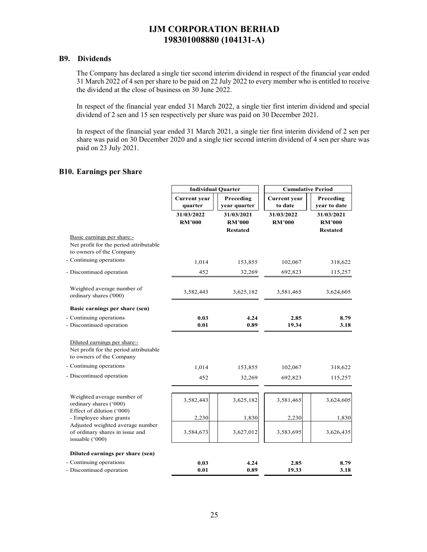### **B9. Dividends**

The Company has declared a single tier second interim dividend in respect of the financial year ended 31 March 2022 of 4 sen per share to be paid on 22 July 2022 to every member who is entitled to receive the dividend at the close of business on 30 June 2022.

In respect of the financial year ended 31 March 2022, a single tier first interim dividend and special dividend of 2 sen and 15 sen respectively per share was paid on 30 December 2021.

In respect of the financial year ended 31 March 2021, a single tier first interim dividend of 2 sen per share was paid on 30 December 2020 and a single tier second interim dividend of 4 sen per share was paid on 23 July 2021.

### **B10. Earnings per Share**

|                                                                                                    | <b>Individual Quarter</b>      |                                                |                                | <b>Cumulative Period</b>                       |  |
|----------------------------------------------------------------------------------------------------|--------------------------------|------------------------------------------------|--------------------------------|------------------------------------------------|--|
|                                                                                                    | <b>Current</b> year<br>quarter | Preceding<br>year quarter                      | <b>Current</b> year<br>to date | Preceding<br>year to date                      |  |
|                                                                                                    | 31/03/2022<br><b>RM'000</b>    | 31/03/2021<br><b>RM'000</b><br><b>Restated</b> | 31/03/2022<br><b>RM'000</b>    | 31/03/2021<br><b>RM'000</b><br><b>Restated</b> |  |
| Basic earnings per share:-<br>Net profit for the period attributable<br>to owners of the Company   |                                |                                                |                                |                                                |  |
| - Continuing operations                                                                            | 1,014                          | 153,855                                        | 102,067                        | 318,622                                        |  |
| - Discontinued operation                                                                           | 452                            | 32,269                                         | 692,823                        | 115,257                                        |  |
| Weighted average number of<br>ordinary shares ('000)                                               | 3,582,443                      | 3,625,182                                      | 3,581,465                      | 3,624,605                                      |  |
| Basic earnings per share (sen)                                                                     |                                |                                                |                                |                                                |  |
| - Continuing operations<br>- Discontinued operation                                                | 0.03<br>0.01                   | 4.24<br>0.89                                   | 2.85<br>19.34                  | 8.79<br>3.18                                   |  |
| Diluted earnings per share:-<br>Net profit for the period attributable<br>to owners of the Company |                                |                                                |                                |                                                |  |
| - Continuing operations                                                                            | 1,014                          | 153,855                                        | 102,067                        | 318,622                                        |  |
| - Discontinued operation                                                                           | 452                            | 32,269                                         | 692,823                        | 115,257                                        |  |
| Weighted average number of<br>ordinary shares ('000)                                               | 3,582,443                      | 3,625,182                                      | 3,581,465                      | 3,624,605                                      |  |
| Effect of dilution ('000)<br>- Employee share grants                                               | 2,230                          | 1,830                                          | 2,230                          | 1,830                                          |  |
| Adjusted weighted average number<br>of ordinary shares in issue and<br>issuable ('000)             | 3,584,673                      | 3,627,012                                      | 3,583,695                      | 3,626,435                                      |  |
| Diluted earnings per share (sen)                                                                   |                                |                                                |                                |                                                |  |
| - Continuing operations<br>- Discontinued operation                                                | 0.03<br>0.01                   | 4.24<br>0.89                                   | 2.85<br>19.33                  | 8.79<br>3.18                                   |  |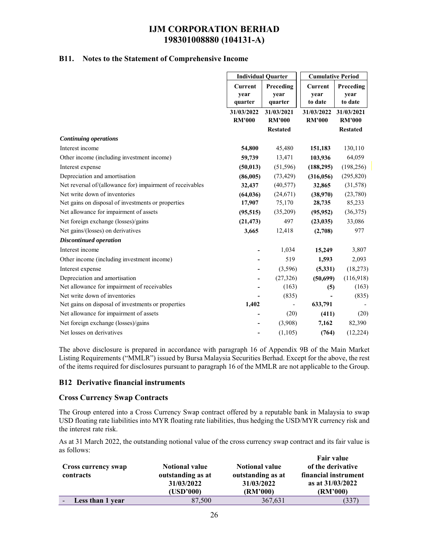### **B11. Notes to the Statement of Comprehensive Income**

|                                                                                     |                                   | <b>Individual Quarter</b>    |                                   | <b>Cumulative Period</b>     |  |
|-------------------------------------------------------------------------------------|-----------------------------------|------------------------------|-----------------------------------|------------------------------|--|
|                                                                                     | <b>Current</b><br>year<br>quarter | Preceding<br>year<br>quarter | <b>Current</b><br>year<br>to date | Preceding<br>year<br>to date |  |
|                                                                                     | 31/03/2022                        | 31/03/2021                   | 31/03/2022                        | 31/03/2021                   |  |
|                                                                                     | <b>RM'000</b>                     | <b>RM'000</b>                | <b>RM'000</b>                     | <b>RM'000</b>                |  |
| <b>Continuing operations</b>                                                        |                                   | <b>Restated</b>              |                                   | <b>Restated</b>              |  |
| Interest income                                                                     | 54,800                            | 45,480                       | 151,183                           | 130,110                      |  |
| Other income (including investment income)                                          | 59,739                            | 13,471                       | 103,936                           | 64,059                       |  |
|                                                                                     |                                   |                              |                                   |                              |  |
| Interest expense                                                                    | (50, 013)                         | (51, 596)                    | (188, 295)                        | (198, 256)                   |  |
| Depreciation and amortisation                                                       | (86,005)                          | (73, 429)                    | (316,056)                         | (295, 820)                   |  |
| Net reversal of/(allowance for) impairment of receivables                           | 32,437                            | (40, 577)                    | 32,865                            | (31,578)                     |  |
| Net write down of inventories<br>Net gains on disposal of investments or properties | (64, 036)                         | (24,671)                     | (38,970)                          | (23,780)                     |  |
|                                                                                     | 17,907                            | 75,170                       | 28,735                            | 85,233                       |  |
| Net allowance for impairment of assets                                              | (95, 515)                         | (35,209)                     | (95, 952)                         | (36,375)                     |  |
| Net foreign exchange (losses)/gains                                                 | (21, 473)                         | 497                          | (23, 035)                         | 33,086                       |  |
| Net gains/(losses) on derivatives                                                   | 3,665                             | 12,418                       | (2,708)                           | 977                          |  |
| <b>Discontinued operation</b>                                                       |                                   |                              |                                   |                              |  |
| Interest income                                                                     |                                   | 1,034                        | 15,249                            | 3,807                        |  |
| Other income (including investment income)                                          |                                   | 519                          | 1,593                             | 2,093                        |  |
| Interest expense                                                                    | ۰                                 | (3,596)                      | (5, 331)                          | (18,273)                     |  |
| Depreciation and amortisation                                                       |                                   | (27,326)                     | (50,699)                          | (116,918)                    |  |
| Net allowance for impairment of receivables                                         |                                   | (163)                        | (5)                               | (163)                        |  |
| Net write down of inventories                                                       |                                   | (835)                        |                                   | (835)                        |  |
| Net gains on disposal of investments or properties                                  | 1,402                             |                              | 633,791                           |                              |  |
| Net allowance for impairment of assets                                              |                                   | (20)                         | (411)                             | (20)                         |  |
| Net foreign exchange (losses)/gains                                                 |                                   | (3,908)                      | 7,162                             | 82,390                       |  |
| Net losses on derivatives                                                           |                                   | (1, 105)                     | (764)                             | (12, 224)                    |  |
|                                                                                     |                                   |                              |                                   |                              |  |

The above disclosure is prepared in accordance with paragraph 16 of Appendix 9B of the Main Market Listing Requirements ("MMLR") issued by Bursa Malaysia Securities Berhad. Except for the above, the rest of the items required for disclosures pursuant to paragraph 16 of the MMLR are not applicable to the Group.

#### **B12 Derivative financial instruments**

### **Cross Currency Swap Contracts**

The Group entered into a Cross Currency Swap contract offered by a reputable bank in Malaysia to swap USD floating rate liabilities into MYR floating rate liabilities, thus hedging the USD/MYR currency risk and the interest rate risk.

As at 31 March 2022, the outstanding notional value of the cross currency swap contract and its fair value is as follows:

| Cross currency swap<br>contracts | <b>Notional value</b><br>outstanding as at<br>31/03/2022<br>(USD'000) | <b>Notional value</b><br>outstanding as at<br>31/03/2022<br>(RM'000) | <b>Fair value</b><br>of the derivative<br>financial instrument<br>as at 31/03/2022<br>(RM'000) |
|----------------------------------|-----------------------------------------------------------------------|----------------------------------------------------------------------|------------------------------------------------------------------------------------------------|
| Less than 1 year                 | 87,500                                                                | 367,631                                                              | (337)                                                                                          |